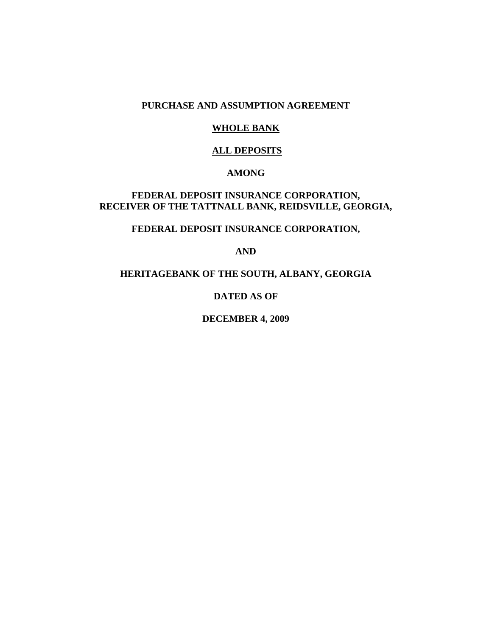#### **PURCHASE AND ASSUMPTION AGREEMENT**

#### **WHOLE BANK**

#### **ALL DEPOSITS**

### **AMONG**

## **FEDERAL DEPOSIT INSURANCE CORPORATION, RECEIVER OF THE TATTNALL BANK, REIDSVILLE, GEORGIA,**

# **FEDERAL DEPOSIT INSURANCE CORPORATION,**

### **AND**

### **HERITAGEBANK OF THE SOUTH, ALBANY, GEORGIA**

### **DATED AS OF**

#### **DECEMBER 4, 2009**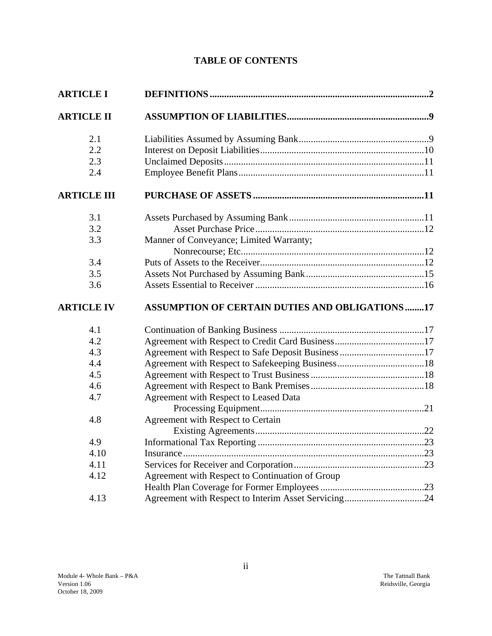# **TABLE OF CONTENTS**

| <b>ARTICLE I</b>   |                                                       |  |
|--------------------|-------------------------------------------------------|--|
| <b>ARTICLE II</b>  |                                                       |  |
| 2.1                |                                                       |  |
| 2.2                |                                                       |  |
| 2.3                |                                                       |  |
| 2.4                |                                                       |  |
| <b>ARTICLE III</b> |                                                       |  |
| 3.1                |                                                       |  |
| 3.2                |                                                       |  |
| 3.3                | Manner of Conveyance; Limited Warranty;               |  |
|                    |                                                       |  |
| 3.4                |                                                       |  |
| 3.5                |                                                       |  |
| 3.6                |                                                       |  |
| <b>ARTICLE IV</b>  | <b>ASSUMPTION OF CERTAIN DUTIES AND OBLIGATIONS17</b> |  |
| 4.1                |                                                       |  |
| 4.2                |                                                       |  |
| 4.3                |                                                       |  |
| 4.4                |                                                       |  |
| 4.5                |                                                       |  |
| 4.6                |                                                       |  |
| 4.7                | Agreement with Respect to Leased Data                 |  |
|                    |                                                       |  |
| 4.8                | Agreement with Respect to Certain                     |  |
|                    |                                                       |  |
| 4.9                |                                                       |  |
| 4.10               |                                                       |  |
| 4.11               |                                                       |  |
| 4.12               | Agreement with Respect to Continuation of Group       |  |
|                    |                                                       |  |
| 4.13               |                                                       |  |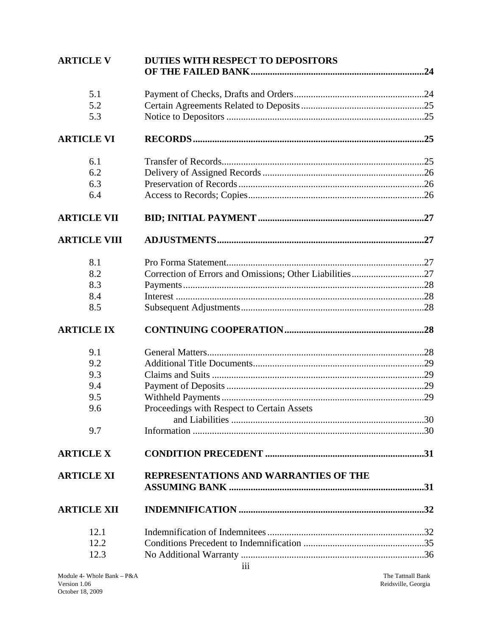| <b>ARTICLE V</b>    | <b>DUTIES WITH RESPECT TO DEPOSITORS</b>   |  |
|---------------------|--------------------------------------------|--|
| 5.1                 |                                            |  |
| 5.2                 |                                            |  |
| 5.3                 |                                            |  |
| <b>ARTICLE VI</b>   |                                            |  |
| 6.1                 |                                            |  |
| 6.2                 |                                            |  |
| 6.3                 |                                            |  |
| 6.4                 |                                            |  |
| <b>ARTICLE VII</b>  |                                            |  |
| <b>ARTICLE VIII</b> |                                            |  |
| 8.1                 |                                            |  |
| 8.2                 |                                            |  |
| 8.3                 |                                            |  |
| 8.4                 |                                            |  |
| 8.5                 |                                            |  |
| <b>ARTICLE IX</b>   |                                            |  |
| 9.1                 |                                            |  |
| 9.2                 |                                            |  |
| 9.3                 |                                            |  |
| 9.4                 |                                            |  |
| 9.5                 |                                            |  |
| 9.6                 | Proceedings with Respect to Certain Assets |  |
|                     |                                            |  |
| 9.7                 |                                            |  |
| <b>ARTICLE X</b>    |                                            |  |
| <b>ARTICLE XI</b>   | REPRESENTATIONS AND WARRANTIES OF THE      |  |
| <b>ARTICLE XII</b>  |                                            |  |
| 12.1                |                                            |  |
| 12.2                |                                            |  |
| 12.3                |                                            |  |
|                     | $\ddot{a}$                                 |  |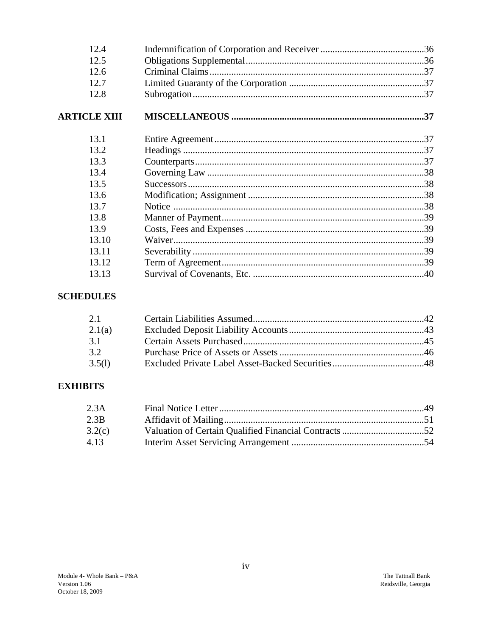| 12.4                |  |
|---------------------|--|
| 12.5                |  |
| 12.6                |  |
| 12.7                |  |
| 12.8                |  |
| <b>ARTICLE XIII</b> |  |
| 13.1                |  |
| 13.2                |  |
| 13.3                |  |
| 13.4                |  |
| 13.5                |  |
| 13.6                |  |
| 13.7                |  |
| 13.8                |  |
| 13.9                |  |
| 13.10               |  |
| 13.11               |  |
| 13.12               |  |
| 13.13               |  |

# **SCHEDULES**

| 2.1    |  |
|--------|--|
| 2.1(a) |  |
| $-3.1$ |  |
| 3.2    |  |
| 3.5(l) |  |

# **EXHIBITS**

| 2.3A   |  |
|--------|--|
| 2.3B   |  |
| 3.2(c) |  |
| 4.13   |  |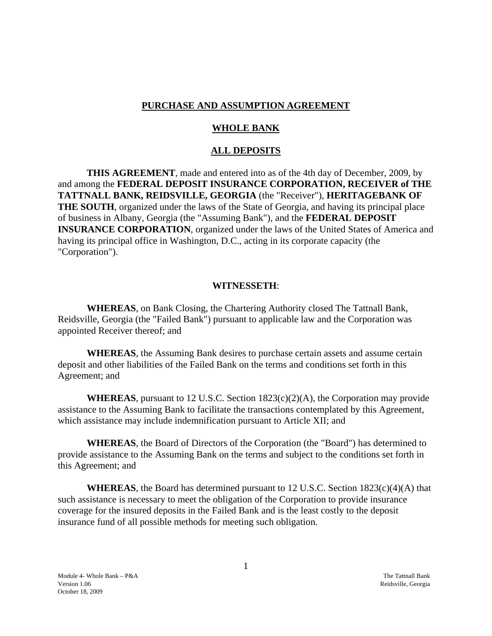#### **PURCHASE AND ASSUMPTION AGREEMENT**

#### **WHOLE BANK**

#### **ALL DEPOSITS**

 **THIS AGREEMENT**, made and entered into as of the 4th day of December, 2009, by and among the **FEDERAL DEPOSIT INSURANCE CORPORATION, RECEIVER of THE TATTNALL BANK, REIDSVILLE, GEORGIA** (the "Receiver"), **HERITAGEBANK OF THE SOUTH**, organized under the laws of the State of Georgia, and having its principal place of business in Albany, Georgia (the "Assuming Bank"), and the **FEDERAL DEPOSIT INSURANCE CORPORATION**, organized under the laws of the United States of America and having its principal office in Washington, D.C., acting in its corporate capacity (the "Corporation").

#### **WITNESSETH**:

**WHEREAS**, on Bank Closing, the Chartering Authority closed The Tattnall Bank, Reidsville, Georgia (the "Failed Bank") pursuant to applicable law and the Corporation was appointed Receiver thereof; and

**WHEREAS**, the Assuming Bank desires to purchase certain assets and assume certain deposit and other liabilities of the Failed Bank on the terms and conditions set forth in this Agreement; and

**WHEREAS**, pursuant to 12 U.S.C. Section 1823(c)(2)(A), the Corporation may provide assistance to the Assuming Bank to facilitate the transactions contemplated by this Agreement, which assistance may include indemnification pursuant to Article XII; and

**WHEREAS**, the Board of Directors of the Corporation (the "Board") has determined to provide assistance to the Assuming Bank on the terms and subject to the conditions set forth in this Agreement; and

**WHEREAS**, the Board has determined pursuant to 12 U.S.C. Section 1823(c)(4)(A) that such assistance is necessary to meet the obligation of the Corporation to provide insurance coverage for the insured deposits in the Failed Bank and is the least costly to the deposit insurance fund of all possible methods for meeting such obligation.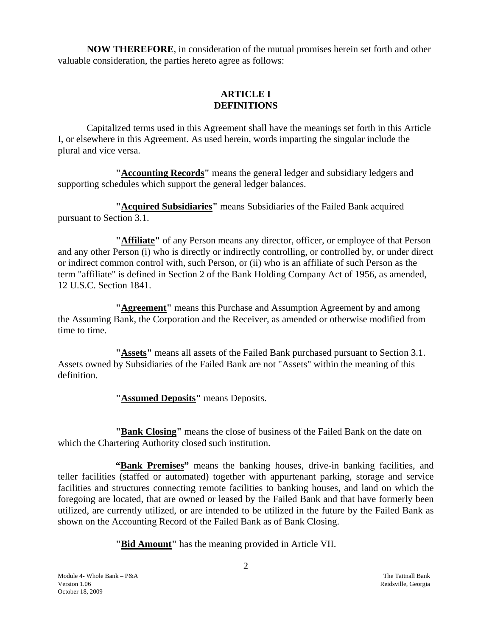**NOW THEREFORE**, in consideration of the mutual promises herein set forth and other valuable consideration, the parties hereto agree as follows:

# **ARTICLE I DEFINITIONS**

<span id="page-5-0"></span>Capitalized terms used in this Agreement shall have the meanings set forth in this Article I, or elsewhere in this Agreement. As used herein, words imparting the singular include the plural and vice versa.

**"Accounting Records"** means the general ledger and subsidiary ledgers and supporting schedules which support the general ledger balances.

**"Acquired Subsidiaries"** means Subsidiaries of the Failed Bank acquired pursuant to Section 3.1.

**"Affiliate"** of any Person means any director, officer, or employee of that Person and any other Person (i) who is directly or indirectly controlling, or controlled by, or under direct or indirect common control with, such Person, or (ii) who is an affiliate of such Person as the term "affiliate" is defined in Section 2 of the Bank Holding Company Act of 1956, as amended, 12 U.S.C. Section 1841.

**"Agreement"** means this Purchase and Assumption Agreement by and among the Assuming Bank, the Corporation and the Receiver, as amended or otherwise modified from time to time.

**"Assets"** means all assets of the Failed Bank purchased pursuant to Section 3.1. Assets owned by Subsidiaries of the Failed Bank are not "Assets" within the meaning of this definition.

**"Assumed Deposits"** means Deposits.

**"Bank Closing"** means the close of business of the Failed Bank on the date on which the Chartering Authority closed such institution.

**"Bank Premises"** means the banking houses, drive-in banking facilities, and teller facilities (staffed or automated) together with appurtenant parking, storage and service facilities and structures connecting remote facilities to banking houses, and land on which the foregoing are located, that are owned or leased by the Failed Bank and that have formerly been utilized, are currently utilized, or are intended to be utilized in the future by the Failed Bank as shown on the Accounting Record of the Failed Bank as of Bank Closing.

**"Bid Amount"** has the meaning provided in Article VII.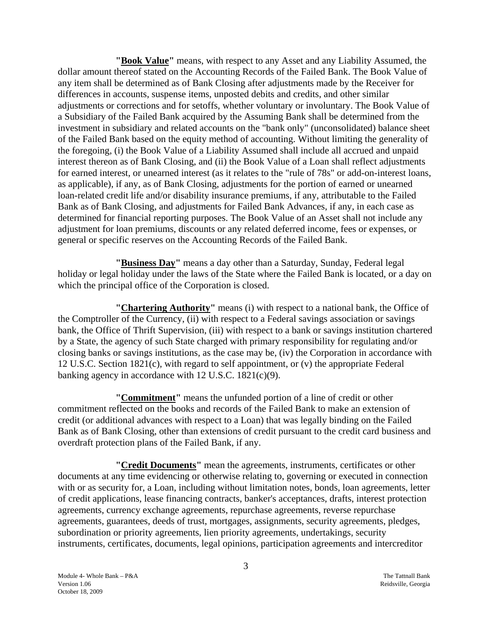**"Book Value"** means, with respect to any Asset and any Liability Assumed, the dollar amount thereof stated on the Accounting Records of the Failed Bank. The Book Value of any item shall be determined as of Bank Closing after adjustments made by the Receiver for differences in accounts, suspense items, unposted debits and credits, and other similar adjustments or corrections and for setoffs, whether voluntary or involuntary. The Book Value of a Subsidiary of the Failed Bank acquired by the Assuming Bank shall be determined from the investment in subsidiary and related accounts on the "bank only" (unconsolidated) balance sheet of the Failed Bank based on the equity method of accounting. Without limiting the generality of the foregoing, (i) the Book Value of a Liability Assumed shall include all accrued and unpaid interest thereon as of Bank Closing, and (ii) the Book Value of a Loan shall reflect adjustments for earned interest, or unearned interest (as it relates to the "rule of 78s" or add-on-interest loans, as applicable), if any, as of Bank Closing, adjustments for the portion of earned or unearned loan-related credit life and/or disability insurance premiums, if any, attributable to the Failed Bank as of Bank Closing, and adjustments for Failed Bank Advances, if any, in each case as determined for financial reporting purposes. The Book Value of an Asset shall not include any adjustment for loan premiums, discounts or any related deferred income, fees or expenses, or general or specific reserves on the Accounting Records of the Failed Bank.

**"Business Day"** means a day other than a Saturday, Sunday, Federal legal holiday or legal holiday under the laws of the State where the Failed Bank is located, or a day on which the principal office of the Corporation is closed.

**"Chartering Authority"** means (i) with respect to a national bank, the Office of the Comptroller of the Currency, (ii) with respect to a Federal savings association or savings bank, the Office of Thrift Supervision, (iii) with respect to a bank or savings institution chartered by a State, the agency of such State charged with primary responsibility for regulating and/or closing banks or savings institutions, as the case may be, (iv) the Corporation in accordance with 12 U.S.C. Section 1821(c), with regard to self appointment, or (v) the appropriate Federal banking agency in accordance with 12 U.S.C. 1821(c)(9).

**"Commitment"** means the unfunded portion of a line of credit or other commitment reflected on the books and records of the Failed Bank to make an extension of credit (or additional advances with respect to a Loan) that was legally binding on the Failed Bank as of Bank Closing, other than extensions of credit pursuant to the credit card business and overdraft protection plans of the Failed Bank, if any.

**"Credit Documents"** mean the agreements, instruments, certificates or other documents at any time evidencing or otherwise relating to, governing or executed in connection with or as security for, a Loan, including without limitation notes, bonds, loan agreements, letter of credit applications, lease financing contracts, banker's acceptances, drafts, interest protection agreements, currency exchange agreements, repurchase agreements, reverse repurchase agreements, guarantees, deeds of trust, mortgages, assignments, security agreements, pledges, subordination or priority agreements, lien priority agreements, undertakings, security instruments, certificates, documents, legal opinions, participation agreements and intercreditor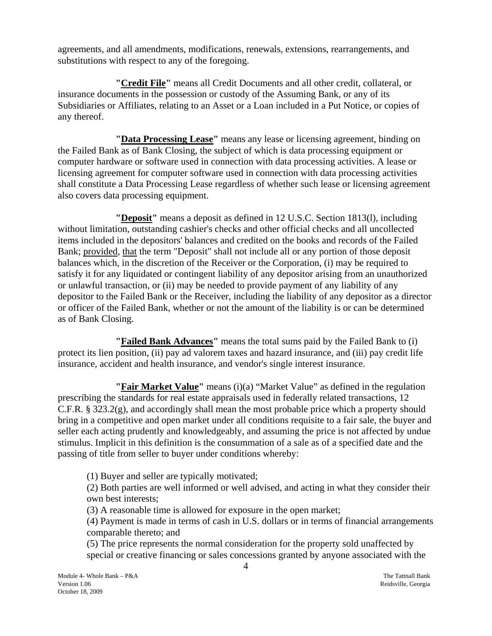agreements, and all amendments, modifications, renewals, extensions, rearrangements, and substitutions with respect to any of the foregoing.

**"Credit File"** means all Credit Documents and all other credit, collateral, or insurance documents in the possession or custody of the Assuming Bank, or any of its Subsidiaries or Affiliates, relating to an Asset or a Loan included in a Put Notice, or copies of any thereof.

**"Data Processing Lease"** means any lease or licensing agreement, binding on the Failed Bank as of Bank Closing, the subject of which is data processing equipment or computer hardware or software used in connection with data processing activities. A lease or licensing agreement for computer software used in connection with data processing activities shall constitute a Data Processing Lease regardless of whether such lease or licensing agreement also covers data processing equipment.

**"Deposit"** means a deposit as defined in 12 U.S.C. Section 1813(l), including without limitation, outstanding cashier's checks and other official checks and all uncollected items included in the depositors' balances and credited on the books and records of the Failed Bank; provided, that the term "Deposit" shall not include all or any portion of those deposit balances which, in the discretion of the Receiver or the Corporation, (i) may be required to satisfy it for any liquidated or contingent liability of any depositor arising from an unauthorized or unlawful transaction, or (ii) may be needed to provide payment of any liability of any depositor to the Failed Bank or the Receiver, including the liability of any depositor as a director or officer of the Failed Bank, whether or not the amount of the liability is or can be determined as of Bank Closing.

**"Failed Bank Advances"** means the total sums paid by the Failed Bank to (i) protect its lien position, (ii) pay ad valorem taxes and hazard insurance, and (iii) pay credit life insurance, accident and health insurance, and vendor's single interest insurance.

**"Fair Market Value"** means (i)(a) "Market Value" as defined in the regulation prescribing the standards for real estate appraisals used in federally related transactions, 12 C.F.R. § 323.2(g), and accordingly shall mean the most probable price which a property should bring in a competitive and open market under all conditions requisite to a fair sale, the buyer and seller each acting prudently and knowledgeably, and assuming the price is not affected by undue stimulus. Implicit in this definition is the consummation of a sale as of a specified date and the passing of title from seller to buyer under conditions whereby:

(1) Buyer and seller are typically motivated;

(2) Both parties are well informed or well advised, and acting in what they consider their own best interests;

(3) A reasonable time is allowed for exposure in the open market;

(4) Payment is made in terms of cash in U.S. dollars or in terms of financial arrangements comparable thereto; and

(5) The price represents the normal consideration for the property sold unaffected by special or creative financing or sales concessions granted by anyone associated with the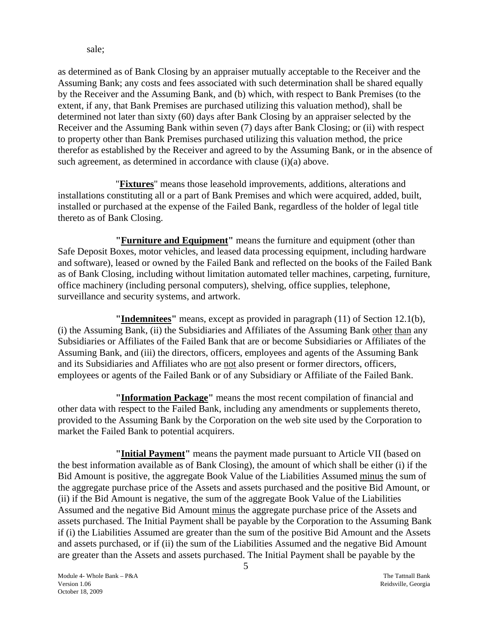sale;

as determined as of Bank Closing by an appraiser mutually acceptable to the Receiver and the Assuming Bank; any costs and fees associated with such determination shall be shared equally by the Receiver and the Assuming Bank, and (b) which, with respect to Bank Premises (to the extent, if any, that Bank Premises are purchased utilizing this valuation method), shall be determined not later than sixty (60) days after Bank Closing by an appraiser selected by the Receiver and the Assuming Bank within seven (7) days after Bank Closing; or (ii) with respect to property other than Bank Premises purchased utilizing this valuation method, the price therefor as established by the Receiver and agreed to by the Assuming Bank, or in the absence of such agreement, as determined in accordance with clause (i)(a) above.

"**Fixtures**" means those leasehold improvements, additions, alterations and installations constituting all or a part of Bank Premises and which were acquired, added, built, installed or purchased at the expense of the Failed Bank, regardless of the holder of legal title thereto as of Bank Closing.

**"Furniture and Equipment"** means the furniture and equipment (other than Safe Deposit Boxes, motor vehicles, and leased data processing equipment, including hardware and software), leased or owned by the Failed Bank and reflected on the books of the Failed Bank as of Bank Closing, including without limitation automated teller machines, carpeting, furniture, office machinery (including personal computers), shelving, office supplies, telephone, surveillance and security systems, and artwork.

**"Indemnitees"** means, except as provided in paragraph (11) of Section 12.1(b), (i) the Assuming Bank, (ii) the Subsidiaries and Affiliates of the Assuming Bank other than any Subsidiaries or Affiliates of the Failed Bank that are or become Subsidiaries or Affiliates of the Assuming Bank, and (iii) the directors, officers, employees and agents of the Assuming Bank and its Subsidiaries and Affiliates who are not also present or former directors, officers, employees or agents of the Failed Bank or of any Subsidiary or Affiliate of the Failed Bank.

**"Information Package"** means the most recent compilation of financial and other data with respect to the Failed Bank, including any amendments or supplements thereto, provided to the Assuming Bank by the Corporation on the web site used by the Corporation to market the Failed Bank to potential acquirers.

**"Initial Payment"** means the payment made pursuant to Article VII (based on the best information available as of Bank Closing), the amount of which shall be either (i) if the Bid Amount is positive, the aggregate Book Value of the Liabilities Assumed minus the sum of the aggregate purchase price of the Assets and assets purchased and the positive Bid Amount, or (ii) if the Bid Amount is negative, the sum of the aggregate Book Value of the Liabilities Assumed and the negative Bid Amount minus the aggregate purchase price of the Assets and assets purchased. The Initial Payment shall be payable by the Corporation to the Assuming Bank if (i) the Liabilities Assumed are greater than the sum of the positive Bid Amount and the Assets and assets purchased, or if (ii) the sum of the Liabilities Assumed and the negative Bid Amount are greater than the Assets and assets purchased. The Initial Payment shall be payable by the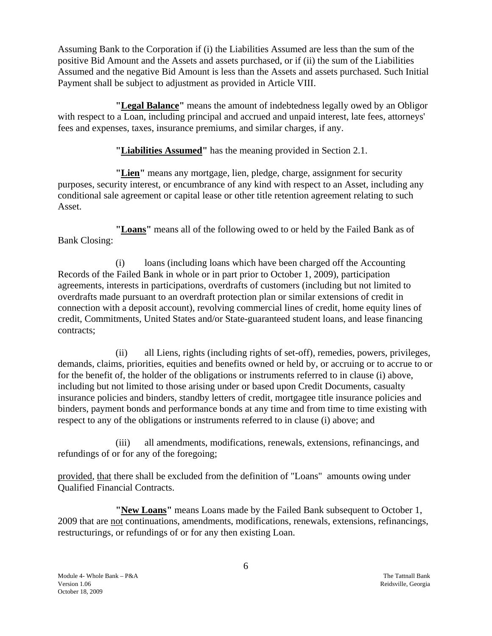Assuming Bank to the Corporation if (i) the Liabilities Assumed are less than the sum of the positive Bid Amount and the Assets and assets purchased, or if (ii) the sum of the Liabilities Assumed and the negative Bid Amount is less than the Assets and assets purchased. Such Initial Payment shall be subject to adjustment as provided in Article VIII.

**"Legal Balance"** means the amount of indebtedness legally owed by an Obligor with respect to a Loan, including principal and accrued and unpaid interest, late fees, attorneys' fees and expenses, taxes, insurance premiums, and similar charges, if any.

**"Liabilities Assumed"** has the meaning provided in Section 2.1.

**"Lien"** means any mortgage, lien, pledge, charge, assignment for security purposes, security interest, or encumbrance of any kind with respect to an Asset, including any conditional sale agreement or capital lease or other title retention agreement relating to such Asset.

**"Loans"** means all of the following owed to or held by the Failed Bank as of Bank Closing:

(i) loans (including loans which have been charged off the Accounting Records of the Failed Bank in whole or in part prior to October 1, 2009), participation agreements, interests in participations, overdrafts of customers (including but not limited to overdrafts made pursuant to an overdraft protection plan or similar extensions of credit in connection with a deposit account), revolving commercial lines of credit, home equity lines of credit, Commitments, United States and/or State-guaranteed student loans, and lease financing contracts;

(ii) all Liens, rights (including rights of set-off), remedies, powers, privileges, demands, claims, priorities, equities and benefits owned or held by, or accruing or to accrue to or for the benefit of, the holder of the obligations or instruments referred to in clause (i) above, including but not limited to those arising under or based upon Credit Documents, casualty insurance policies and binders, standby letters of credit, mortgagee title insurance policies and binders, payment bonds and performance bonds at any time and from time to time existing with respect to any of the obligations or instruments referred to in clause (i) above; and

(iii) all amendments, modifications, renewals, extensions, refinancings, and refundings of or for any of the foregoing;

provided, that there shall be excluded from the definition of "Loans" amounts owing under Qualified Financial Contracts.

**"New Loans"** means Loans made by the Failed Bank subsequent to October 1, 2009 that are not continuations, amendments, modifications, renewals, extensions, refinancings, restructurings, or refundings of or for any then existing Loan.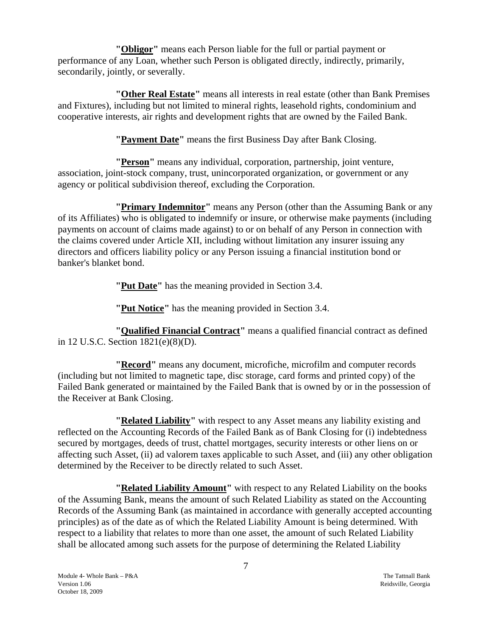**"Obligor"** means each Person liable for the full or partial payment or performance of any Loan, whether such Person is obligated directly, indirectly, primarily, secondarily, jointly, or severally.

**"Other Real Estate"** means all interests in real estate (other than Bank Premises and Fixtures), including but not limited to mineral rights, leasehold rights, condominium and cooperative interests, air rights and development rights that are owned by the Failed Bank.

**"Payment Date"** means the first Business Day after Bank Closing.

**"Person"** means any individual, corporation, partnership, joint venture, association, joint-stock company, trust, unincorporated organization, or government or any agency or political subdivision thereof, excluding the Corporation.

**"Primary Indemnitor"** means any Person (other than the Assuming Bank or any of its Affiliates) who is obligated to indemnify or insure, or otherwise make payments (including payments on account of claims made against) to or on behalf of any Person in connection with the claims covered under Article XII, including without limitation any insurer issuing any directors and officers liability policy or any Person issuing a financial institution bond or banker's blanket bond.

**"Put Date"** has the meaning provided in Section 3.4.

**"Put Notice"** has the meaning provided in Section 3.4.

**"Qualified Financial Contract"** means a qualified financial contract as defined in 12 U.S.C. Section 1821(e)(8)(D).

**"Record"** means any document, microfiche, microfilm and computer records (including but not limited to magnetic tape, disc storage, card forms and printed copy) of the Failed Bank generated or maintained by the Failed Bank that is owned by or in the possession of the Receiver at Bank Closing.

**"Related Liability"** with respect to any Asset means any liability existing and reflected on the Accounting Records of the Failed Bank as of Bank Closing for (i) indebtedness secured by mortgages, deeds of trust, chattel mortgages, security interests or other liens on or affecting such Asset, (ii) ad valorem taxes applicable to such Asset, and (iii) any other obligation determined by the Receiver to be directly related to such Asset.

**"Related Liability Amount"** with respect to any Related Liability on the books of the Assuming Bank, means the amount of such Related Liability as stated on the Accounting Records of the Assuming Bank (as maintained in accordance with generally accepted accounting principles) as of the date as of which the Related Liability Amount is being determined. With respect to a liability that relates to more than one asset, the amount of such Related Liability shall be allocated among such assets for the purpose of determining the Related Liability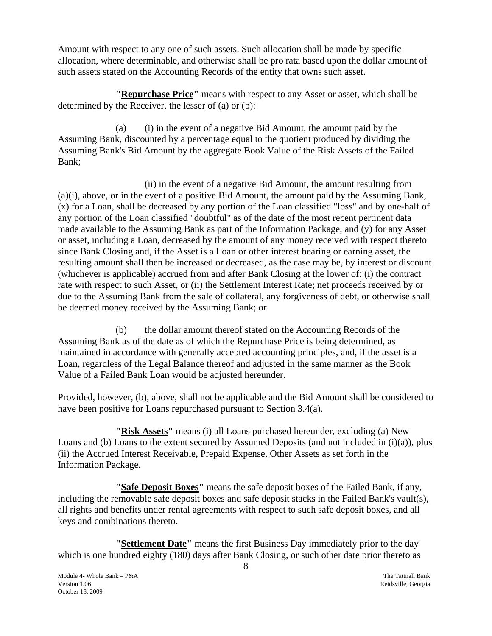Amount with respect to any one of such assets. Such allocation shall be made by specific allocation, where determinable, and otherwise shall be pro rata based upon the dollar amount of such assets stated on the Accounting Records of the entity that owns such asset.

**"Repurchase Price"** means with respect to any Asset or asset, which shall be determined by the Receiver, the lesser of (a) or (b):

(a) (i) in the event of a negative Bid Amount, the amount paid by the Assuming Bank, discounted by a percentage equal to the quotient produced by dividing the Assuming Bank's Bid Amount by the aggregate Book Value of the Risk Assets of the Failed Bank;

(ii) in the event of a negative Bid Amount, the amount resulting from (a)(i), above, or in the event of a positive Bid Amount, the amount paid by the Assuming Bank, (x) for a Loan, shall be decreased by any portion of the Loan classified "loss" and by one-half of any portion of the Loan classified "doubtful" as of the date of the most recent pertinent data made available to the Assuming Bank as part of the Information Package, and (y) for any Asset or asset, including a Loan, decreased by the amount of any money received with respect thereto since Bank Closing and, if the Asset is a Loan or other interest bearing or earning asset, the resulting amount shall then be increased or decreased, as the case may be, by interest or discount (whichever is applicable) accrued from and after Bank Closing at the lower of: (i) the contract rate with respect to such Asset, or (ii) the Settlement Interest Rate; net proceeds received by or due to the Assuming Bank from the sale of collateral, any forgiveness of debt, or otherwise shall be deemed money received by the Assuming Bank; or

(b) the dollar amount thereof stated on the Accounting Records of the Assuming Bank as of the date as of which the Repurchase Price is being determined, as maintained in accordance with generally accepted accounting principles, and, if the asset is a Loan, regardless of the Legal Balance thereof and adjusted in the same manner as the Book Value of a Failed Bank Loan would be adjusted hereunder.

Provided, however, (b), above, shall not be applicable and the Bid Amount shall be considered to have been positive for Loans repurchased pursuant to Section 3.4(a).

**"Risk Assets"** means (i) all Loans purchased hereunder, excluding (a) New Loans and (b) Loans to the extent secured by Assumed Deposits (and not included in (i)(a)), plus (ii) the Accrued Interest Receivable, Prepaid Expense, Other Assets as set forth in the Information Package.

**"Safe Deposit Boxes"** means the safe deposit boxes of the Failed Bank, if any, including the removable safe deposit boxes and safe deposit stacks in the Failed Bank's vault(s), all rights and benefits under rental agreements with respect to such safe deposit boxes, and all keys and combinations thereto.

**"Settlement Date"** means the first Business Day immediately prior to the day which is one hundred eighty (180) days after Bank Closing, or such other date prior thereto as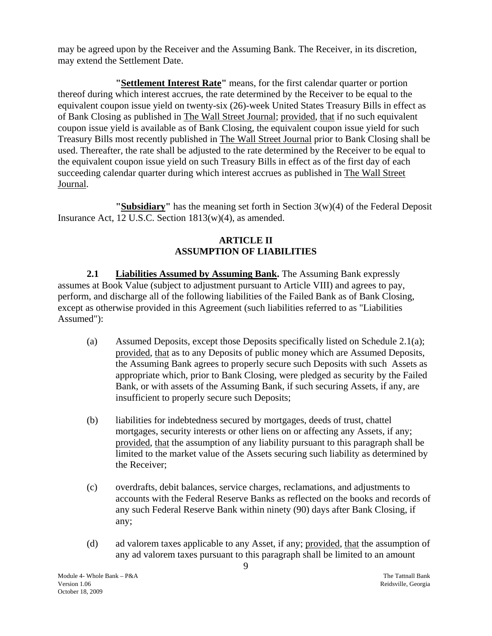may be agreed upon by the Receiver and the Assuming Bank. The Receiver, in its discretion, may extend the Settlement Date.

**"Settlement Interest Rate"** means, for the first calendar quarter or portion thereof during which interest accrues, the rate determined by the Receiver to be equal to the equivalent coupon issue yield on twenty-six (26)-week United States Treasury Bills in effect as of Bank Closing as published in The Wall Street Journal; provided, that if no such equivalent coupon issue yield is available as of Bank Closing, the equivalent coupon issue yield for such Treasury Bills most recently published in The Wall Street Journal prior to Bank Closing shall be used. Thereafter, the rate shall be adjusted to the rate determined by the Receiver to be equal to the equivalent coupon issue yield on such Treasury Bills in effect as of the first day of each succeeding calendar quarter during which interest accrues as published in The Wall Street Journal.

**"Subsidiary"** has the meaning set forth in Section 3(w)(4) of the Federal Deposit Insurance Act, 12 U.S.C. Section 1813(w)(4), as amended.

# **ARTICLE II ASSUMPTION OF LIABILITIES**

<span id="page-12-1"></span><span id="page-12-0"></span> **2.1 Liabilities Assumed by Assuming Bank.** The Assuming Bank expressly assumes at Book Value (subject to adjustment pursuant to Article VIII) and agrees to pay, perform, and discharge all of the following liabilities of the Failed Bank as of Bank Closing, except as otherwise provided in this Agreement (such liabilities referred to as "Liabilities Assumed"):

- (a) Assumed Deposits, except those Deposits specifically listed on Schedule 2.1(a); provided, that as to any Deposits of public money which are Assumed Deposits, the Assuming Bank agrees to properly secure such Deposits with such Assets as appropriate which, prior to Bank Closing, were pledged as security by the Failed Bank, or with assets of the Assuming Bank, if such securing Assets, if any, are insufficient to properly secure such Deposits;
- (b) liabilities for indebtedness secured by mortgages, deeds of trust, chattel mortgages, security interests or other liens on or affecting any Assets, if any; provided, that the assumption of any liability pursuant to this paragraph shall be limited to the market value of the Assets securing such liability as determined by the Receiver;
- (c) overdrafts, debit balances, service charges, reclamations, and adjustments to accounts with the Federal Reserve Banks as reflected on the books and records of any such Federal Reserve Bank within ninety (90) days after Bank Closing, if any;
- (d) ad valorem taxes applicable to any Asset, if any; provided, that the assumption of any ad valorem taxes pursuant to this paragraph shall be limited to an amount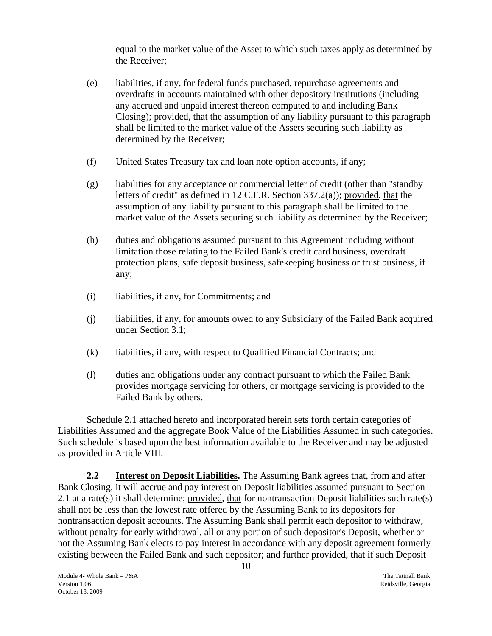equal to the market value of the Asset to which such taxes apply as determined by the Receiver;

- (e) liabilities, if any, for federal funds purchased, repurchase agreements and overdrafts in accounts maintained with other depository institutions (including any accrued and unpaid interest thereon computed to and including Bank Closing); provided, that the assumption of any liability pursuant to this paragraph shall be limited to the market value of the Assets securing such liability as determined by the Receiver;
- (f) United States Treasury tax and loan note option accounts, if any;
- (g) liabilities for any acceptance or commercial letter of credit (other than "standby letters of credit" as defined in 12 C.F.R. Section 337.2(a)); provided, that the assumption of any liability pursuant to this paragraph shall be limited to the market value of the Assets securing such liability as determined by the Receiver;
- (h) duties and obligations assumed pursuant to this Agreement including without limitation those relating to the Failed Bank's credit card business, overdraft protection plans, safe deposit business, safekeeping business or trust business, if any;
- (i) liabilities, if any, for Commitments; and
- (j) liabilities, if any, for amounts owed to any Subsidiary of the Failed Bank acquired under Section 3.1;
- (k) liabilities, if any, with respect to Qualified Financial Contracts; and
- (l) duties and obligations under any contract pursuant to which the Failed Bank provides mortgage servicing for others, or mortgage servicing is provided to the Failed Bank by others.

Schedule 2.1 attached hereto and incorporated herein sets forth certain categories of Liabilities Assumed and the aggregate Book Value of the Liabilities Assumed in such categories. Such schedule is based upon the best information available to the Receiver and may be adjusted as provided in Article VIII.

<span id="page-13-0"></span>**2.2 Interest on Deposit Liabilities.** The Assuming Bank agrees that, from and after Bank Closing, it will accrue and pay interest on Deposit liabilities assumed pursuant to Section 2.1 at a rate(s) it shall determine; provided, that for nontransaction Deposit liabilities such rate(s) shall not be less than the lowest rate offered by the Assuming Bank to its depositors for nontransaction deposit accounts. The Assuming Bank shall permit each depositor to withdraw, without penalty for early withdrawal, all or any portion of such depositor's Deposit, whether or not the Assuming Bank elects to pay interest in accordance with any deposit agreement formerly existing between the Failed Bank and such depositor; and further provided, that if such Deposit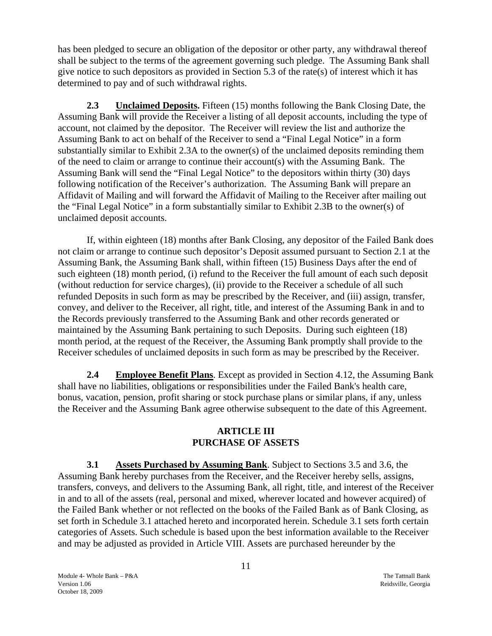has been pledged to secure an obligation of the depositor or other party, any withdrawal thereof shall be subject to the terms of the agreement governing such pledge. The Assuming Bank shall give notice to such depositors as provided in Section 5.3 of the rate(s) of interest which it has determined to pay and of such withdrawal rights.

<span id="page-14-0"></span>**2.3 Unclaimed Deposits.** Fifteen (15) months following the Bank Closing Date, the Assuming Bank will provide the Receiver a listing of all deposit accounts, including the type of account, not claimed by the depositor. The Receiver will review the list and authorize the Assuming Bank to act on behalf of the Receiver to send a "Final Legal Notice" in a form substantially similar to Exhibit 2.3A to the owner(s) of the unclaimed deposits reminding them of the need to claim or arrange to continue their account(s) with the Assuming Bank. The Assuming Bank will send the "Final Legal Notice" to the depositors within thirty (30) days following notification of the Receiver's authorization. The Assuming Bank will prepare an Affidavit of Mailing and will forward the Affidavit of Mailing to the Receiver after mailing out the "Final Legal Notice" in a form substantially similar to Exhibit 2.3B to the owner(s) of unclaimed deposit accounts.

If, within eighteen (18) months after Bank Closing, any depositor of the Failed Bank does not claim or arrange to continue such depositor's Deposit assumed pursuant to Section 2.1 at the Assuming Bank, the Assuming Bank shall, within fifteen (15) Business Days after the end of such eighteen (18) month period, (i) refund to the Receiver the full amount of each such deposit (without reduction for service charges), (ii) provide to the Receiver a schedule of all such refunded Deposits in such form as may be prescribed by the Receiver, and (iii) assign, transfer, convey, and deliver to the Receiver, all right, title, and interest of the Assuming Bank in and to the Records previously transferred to the Assuming Bank and other records generated or maintained by the Assuming Bank pertaining to such Deposits. During such eighteen (18) month period, at the request of the Receiver, the Assuming Bank promptly shall provide to the Receiver schedules of unclaimed deposits in such form as may be prescribed by the Receiver.

<span id="page-14-1"></span>**2.4 Employee Benefit Plans**. Except as provided in Section 4.12, the Assuming Bank shall have no liabilities, obligations or responsibilities under the Failed Bank's health care, bonus, vacation, pension, profit sharing or stock purchase plans or similar plans, if any, unless the Receiver and the Assuming Bank agree otherwise subsequent to the date of this Agreement.

### **ARTICLE III PURCHASE OF ASSETS**

<span id="page-14-3"></span><span id="page-14-2"></span> **3.1 Assets Purchased by Assuming Bank**. Subject to Sections 3.5 and 3.6, the Assuming Bank hereby purchases from the Receiver, and the Receiver hereby sells, assigns, transfers, conveys, and delivers to the Assuming Bank, all right, title, and interest of the Receiver in and to all of the assets (real, personal and mixed, wherever located and however acquired) of the Failed Bank whether or not reflected on the books of the Failed Bank as of Bank Closing, as set forth in Schedule 3.1 attached hereto and incorporated herein. Schedule 3.1 sets forth certain categories of Assets. Such schedule is based upon the best information available to the Receiver and may be adjusted as provided in Article VIII. Assets are purchased hereunder by the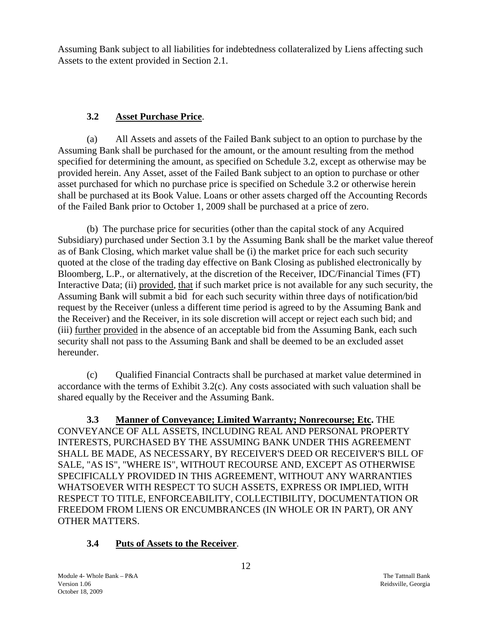Assuming Bank subject to all liabilities for indebtedness collateralized by Liens affecting such Assets to the extent provided in Section 2.1.

# **3.2 Asset Purchase Price**.

<span id="page-15-0"></span>(a) All Assets and assets of the Failed Bank subject to an option to purchase by the Assuming Bank shall be purchased for the amount, or the amount resulting from the method specified for determining the amount, as specified on Schedule 3.2, except as otherwise may be provided herein. Any Asset, asset of the Failed Bank subject to an option to purchase or other asset purchased for which no purchase price is specified on Schedule 3.2 or otherwise herein shall be purchased at its Book Value. Loans or other assets charged off the Accounting Records of the Failed Bank prior to October 1, 2009 shall be purchased at a price of zero.

(b) The purchase price for securities (other than the capital stock of any Acquired Subsidiary) purchased under Section 3.1 by the Assuming Bank shall be the market value thereof as of Bank Closing, which market value shall be (i) the market price for each such security quoted at the close of the trading day effective on Bank Closing as published electronically by Bloomberg, L.P., or alternatively, at the discretion of the Receiver, IDC/Financial Times (FT) Interactive Data; (ii) provided, that if such market price is not available for any such security, the Assuming Bank will submit a bid for each such security within three days of notification/bid request by the Receiver (unless a different time period is agreed to by the Assuming Bank and the Receiver) and the Receiver, in its sole discretion will accept or reject each such bid; and (iii) further provided in the absence of an acceptable bid from the Assuming Bank, each such security shall not pass to the Assuming Bank and shall be deemed to be an excluded asset hereunder.

(c) Qualified Financial Contracts shall be purchased at market value determined in accordance with the terms of Exhibit 3.2(c). Any costs associated with such valuation shall be shared equally by the Receiver and the Assuming Bank.

<span id="page-15-1"></span>**3.3 Manner of Conveyance; Limited Warranty; Nonrecourse; Etc.** THE CONVEYANCE OF ALL ASSETS, INCLUDING REAL AND PERSONAL PROPERTY INTERESTS, PURCHASED BY THE ASSUMING BANK UNDER THIS AGREEMENT SHALL BE MADE, AS NECESSARY, BY RECEIVER'S DEED OR RECEIVER'S BILL OF SALE, "AS IS", "WHERE IS", WITHOUT RECOURSE AND, EXCEPT AS OTHERWISE SPECIFICALLY PROVIDED IN THIS AGREEMENT, WITHOUT ANY WARRANTIES WHATSOEVER WITH RESPECT TO SUCH ASSETS, EXPRESS OR IMPLIED, WITH RESPECT TO TITLE, ENFORCEABILITY, COLLECTIBILITY, DOCUMENTATION OR FREEDOM FROM LIENS OR ENCUMBRANCES (IN WHOLE OR IN PART), OR ANY OTHER MATTERS.

### <span id="page-15-2"></span>**3.4 Puts of Assets to the Receiver**.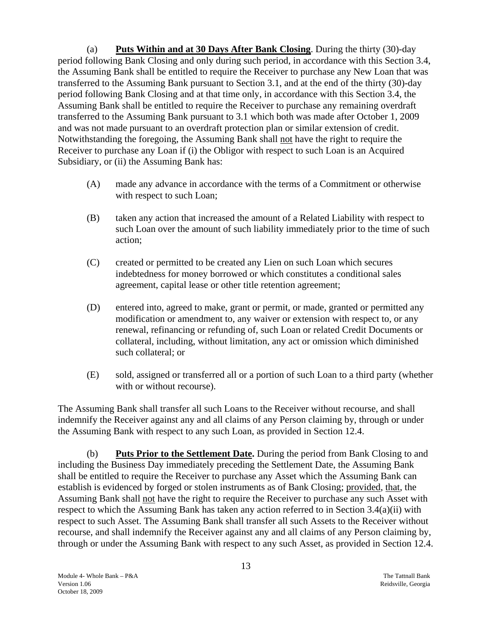(a) **Puts Within and at 30 Days After Bank Closing**. During the thirty (30)-day period following Bank Closing and only during such period, in accordance with this Section 3.4, the Assuming Bank shall be entitled to require the Receiver to purchase any New Loan that was transferred to the Assuming Bank pursuant to Section 3.1, and at the end of the thirty (30)-day period following Bank Closing and at that time only, in accordance with this Section 3.4, the Assuming Bank shall be entitled to require the Receiver to purchase any remaining overdraft transferred to the Assuming Bank pursuant to 3.1 which both was made after October 1, 2009 and was not made pursuant to an overdraft protection plan or similar extension of credit. Notwithstanding the foregoing, the Assuming Bank shall not have the right to require the Receiver to purchase any Loan if (i) the Obligor with respect to such Loan is an Acquired Subsidiary, or (ii) the Assuming Bank has:

- (A) made any advance in accordance with the terms of a Commitment or otherwise with respect to such Loan;
- (B) taken any action that increased the amount of a Related Liability with respect to such Loan over the amount of such liability immediately prior to the time of such action;
- (C) created or permitted to be created any Lien on such Loan which secures indebtedness for money borrowed or which constitutes a conditional sales agreement, capital lease or other title retention agreement;
- (D) entered into, agreed to make, grant or permit, or made, granted or permitted any modification or amendment to, any waiver or extension with respect to, or any renewal, refinancing or refunding of, such Loan or related Credit Documents or collateral, including, without limitation, any act or omission which diminished such collateral; or
- (E) sold, assigned or transferred all or a portion of such Loan to a third party (whether with or without recourse).

The Assuming Bank shall transfer all such Loans to the Receiver without recourse, and shall indemnify the Receiver against any and all claims of any Person claiming by, through or under the Assuming Bank with respect to any such Loan, as provided in Section 12.4.

(b) **Puts Prior to the Settlement Date.** During the period from Bank Closing to and including the Business Day immediately preceding the Settlement Date, the Assuming Bank shall be entitled to require the Receiver to purchase any Asset which the Assuming Bank can establish is evidenced by forged or stolen instruments as of Bank Closing; provided, that, the Assuming Bank shall not have the right to require the Receiver to purchase any such Asset with respect to which the Assuming Bank has taken any action referred to in Section 3.4(a)(ii) with respect to such Asset. The Assuming Bank shall transfer all such Assets to the Receiver without recourse, and shall indemnify the Receiver against any and all claims of any Person claiming by, through or under the Assuming Bank with respect to any such Asset, as provided in Section 12.4.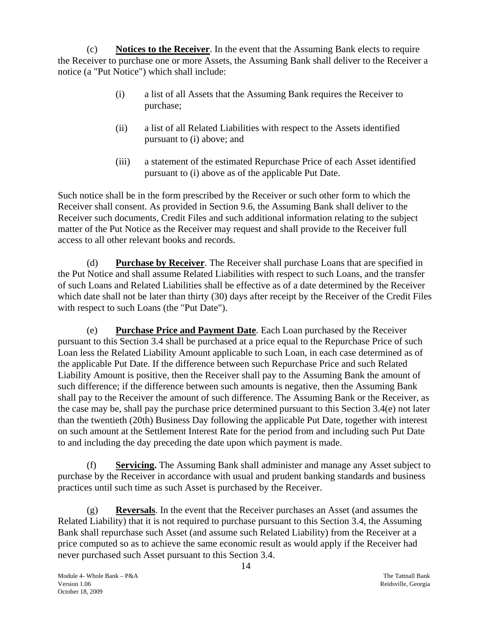(c) **Notices to the Receiver**. In the event that the Assuming Bank elects to require the Receiver to purchase one or more Assets, the Assuming Bank shall deliver to the Receiver a notice (a "Put Notice") which shall include:

- (i) a list of all Assets that the Assuming Bank requires the Receiver to purchase;
- (ii) a list of all Related Liabilities with respect to the Assets identified pursuant to (i) above; and
- (iii) a statement of the estimated Repurchase Price of each Asset identified pursuant to (i) above as of the applicable Put Date.

Such notice shall be in the form prescribed by the Receiver or such other form to which the Receiver shall consent. As provided in Section 9.6, the Assuming Bank shall deliver to the Receiver such documents, Credit Files and such additional information relating to the subject matter of the Put Notice as the Receiver may request and shall provide to the Receiver full access to all other relevant books and records.

(d) **Purchase by Receiver**. The Receiver shall purchase Loans that are specified in the Put Notice and shall assume Related Liabilities with respect to such Loans, and the transfer of such Loans and Related Liabilities shall be effective as of a date determined by the Receiver which date shall not be later than thirty (30) days after receipt by the Receiver of the Credit Files with respect to such Loans (the "Put Date").

(e) **Purchase Price and Payment Date**. Each Loan purchased by the Receiver pursuant to this Section 3.4 shall be purchased at a price equal to the Repurchase Price of such Loan less the Related Liability Amount applicable to such Loan, in each case determined as of the applicable Put Date. If the difference between such Repurchase Price and such Related Liability Amount is positive, then the Receiver shall pay to the Assuming Bank the amount of such difference; if the difference between such amounts is negative, then the Assuming Bank shall pay to the Receiver the amount of such difference. The Assuming Bank or the Receiver, as the case may be, shall pay the purchase price determined pursuant to this Section 3.4(e) not later than the twentieth (20th) Business Day following the applicable Put Date, together with interest on such amount at the Settlement Interest Rate for the period from and including such Put Date to and including the day preceding the date upon which payment is made.

(f) **Servicing.** The Assuming Bank shall administer and manage any Asset subject to purchase by the Receiver in accordance with usual and prudent banking standards and business practices until such time as such Asset is purchased by the Receiver.

(g) **Reversals**. In the event that the Receiver purchases an Asset (and assumes the Related Liability) that it is not required to purchase pursuant to this Section 3.4, the Assuming Bank shall repurchase such Asset (and assume such Related Liability) from the Receiver at a price computed so as to achieve the same economic result as would apply if the Receiver had never purchased such Asset pursuant to this Section 3.4.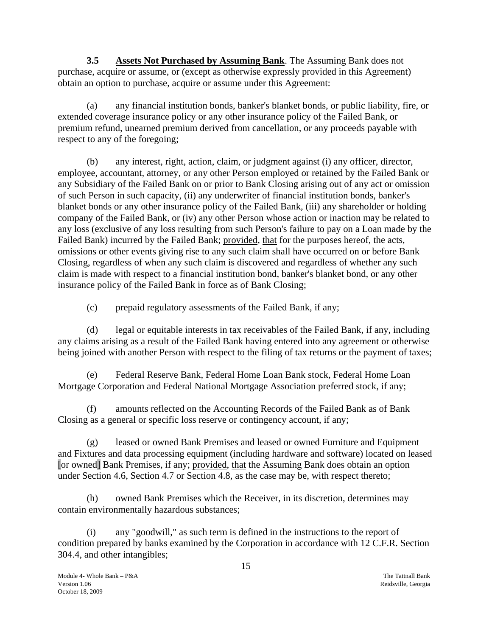<span id="page-18-0"></span> **3.5 Assets Not Purchased by Assuming Bank**. The Assuming Bank does not purchase, acquire or assume, or (except as otherwise expressly provided in this Agreement) obtain an option to purchase, acquire or assume under this Agreement:

(a) any financial institution bonds, banker's blanket bonds, or public liability, fire, or extended coverage insurance policy or any other insurance policy of the Failed Bank, or premium refund, unearned premium derived from cancellation, or any proceeds payable with respect to any of the foregoing;

(b) any interest, right, action, claim, or judgment against (i) any officer, director, employee, accountant, attorney, or any other Person employed or retained by the Failed Bank or any Subsidiary of the Failed Bank on or prior to Bank Closing arising out of any act or omission of such Person in such capacity, (ii) any underwriter of financial institution bonds, banker's blanket bonds or any other insurance policy of the Failed Bank, (iii) any shareholder or holding company of the Failed Bank, or (iv) any other Person whose action or inaction may be related to any loss (exclusive of any loss resulting from such Person's failure to pay on a Loan made by the Failed Bank) incurred by the Failed Bank; provided, that for the purposes hereof, the acts, omissions or other events giving rise to any such claim shall have occurred on or before Bank Closing, regardless of when any such claim is discovered and regardless of whether any such claim is made with respect to a financial institution bond, banker's blanket bond, or any other insurance policy of the Failed Bank in force as of Bank Closing;

(c) prepaid regulatory assessments of the Failed Bank, if any;

(d) legal or equitable interests in tax receivables of the Failed Bank, if any, including any claims arising as a result of the Failed Bank having entered into any agreement or otherwise being joined with another Person with respect to the filing of tax returns or the payment of taxes;

(e) Federal Reserve Bank, Federal Home Loan Bank stock, Federal Home Loan Mortgage Corporation and Federal National Mortgage Association preferred stock, if any;

(f) amounts reflected on the Accounting Records of the Failed Bank as of Bank Closing as a general or specific loss reserve or contingency account, if any;

(g) leased or owned Bank Premises and leased or owned Furniture and Equipment and Fixtures and data processing equipment (including hardware and software) located on leased [or owned] Bank Premises, if any; provided, that the Assuming Bank does obtain an option under Section 4.6, Section 4.7 or Section 4.8, as the case may be, with respect thereto;

(h) owned Bank Premises which the Receiver, in its discretion, determines may contain environmentally hazardous substances;

(i) any "goodwill," as such term is defined in the instructions to the report of condition prepared by banks examined by the Corporation in accordance with 12 C.F.R. Section 304.4, and other intangibles;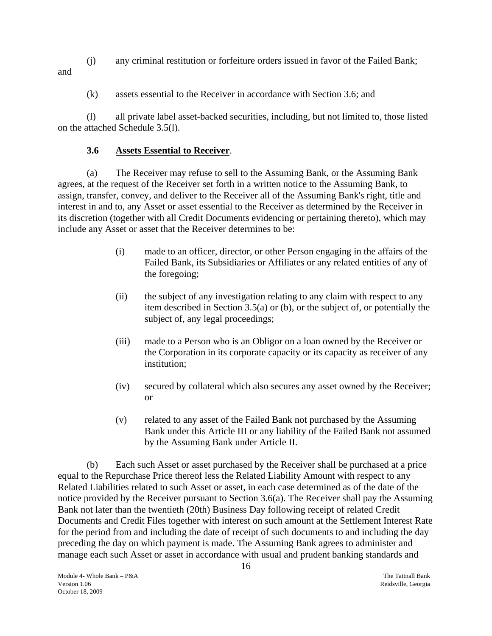(j) any criminal restitution or forfeiture orders issued in favor of the Failed Bank; and

(k) assets essential to the Receiver in accordance with Section 3.6; and

(l) all private label asset-backed securities, including, but not limited to, those listed on the attached Schedule 3.5(l).

# **3.6 Assets Essential to Receiver**.

<span id="page-19-0"></span>(a) The Receiver may refuse to sell to the Assuming Bank, or the Assuming Bank agrees, at the request of the Receiver set forth in a written notice to the Assuming Bank, to assign, transfer, convey, and deliver to the Receiver all of the Assuming Bank's right, title and interest in and to, any Asset or asset essential to the Receiver as determined by the Receiver in its discretion (together with all Credit Documents evidencing or pertaining thereto), which may include any Asset or asset that the Receiver determines to be:

- (i) made to an officer, director, or other Person engaging in the affairs of the Failed Bank, its Subsidiaries or Affiliates or any related entities of any of the foregoing;
- (ii) the subject of any investigation relating to any claim with respect to any item described in Section 3.5(a) or (b), or the subject of, or potentially the subject of, any legal proceedings;
- (iii) made to a Person who is an Obligor on a loan owned by the Receiver or the Corporation in its corporate capacity or its capacity as receiver of any institution;
- (iv) secured by collateral which also secures any asset owned by the Receiver; or
- (v) related to any asset of the Failed Bank not purchased by the Assuming Bank under this Article III or any liability of the Failed Bank not assumed by the Assuming Bank under Article II.

(b) Each such Asset or asset purchased by the Receiver shall be purchased at a price equal to the Repurchase Price thereof less the Related Liability Amount with respect to any Related Liabilities related to such Asset or asset, in each case determined as of the date of the notice provided by the Receiver pursuant to Section 3.6(a). The Receiver shall pay the Assuming Bank not later than the twentieth (20th) Business Day following receipt of related Credit Documents and Credit Files together with interest on such amount at the Settlement Interest Rate for the period from and including the date of receipt of such documents to and including the day preceding the day on which payment is made. The Assuming Bank agrees to administer and manage each such Asset or asset in accordance with usual and prudent banking standards and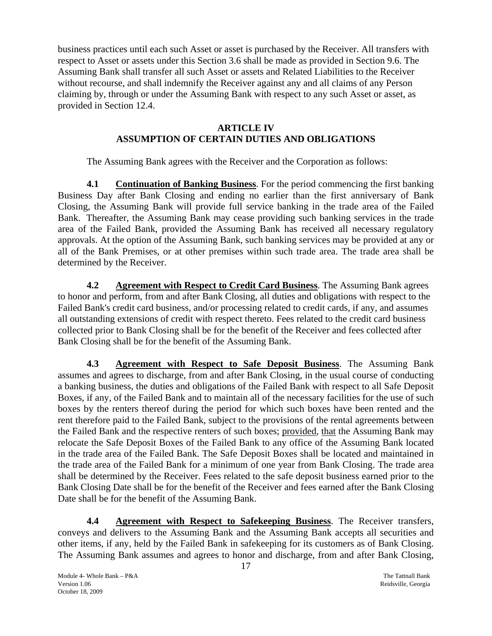business practices until each such Asset or asset is purchased by the Receiver. All transfers with respect to Asset or assets under this Section 3.6 shall be made as provided in Section 9.6. The Assuming Bank shall transfer all such Asset or assets and Related Liabilities to the Receiver without recourse, and shall indemnify the Receiver against any and all claims of any Person claiming by, through or under the Assuming Bank with respect to any such Asset or asset, as provided in Section 12.4.

### **ARTICLE IV ASSUMPTION OF CERTAIN DUTIES AND OBLIGATIONS**

The Assuming Bank agrees with the Receiver and the Corporation as follows:

<span id="page-20-1"></span><span id="page-20-0"></span>**4.1 Continuation of Banking Business**. For the period commencing the first banking Business Day after Bank Closing and ending no earlier than the first anniversary of Bank Closing, the Assuming Bank will provide full service banking in the trade area of the Failed Bank. Thereafter, the Assuming Bank may cease providing such banking services in the trade area of the Failed Bank, provided the Assuming Bank has received all necessary regulatory approvals. At the option of the Assuming Bank, such banking services may be provided at any or all of the Bank Premises, or at other premises within such trade area. The trade area shall be determined by the Receiver.

<span id="page-20-2"></span>**4.2 Agreement with Respect to Credit Card Business**. The Assuming Bank agrees to honor and perform, from and after Bank Closing, all duties and obligations with respect to the Failed Bank's credit card business, and/or processing related to credit cards, if any, and assumes all outstanding extensions of credit with respect thereto. Fees related to the credit card business collected prior to Bank Closing shall be for the benefit of the Receiver and fees collected after Bank Closing shall be for the benefit of the Assuming Bank.

<span id="page-20-3"></span>**4.3 Agreement with Respect to Safe Deposit Business**. The Assuming Bank assumes and agrees to discharge, from and after Bank Closing, in the usual course of conducting a banking business, the duties and obligations of the Failed Bank with respect to all Safe Deposit Boxes, if any, of the Failed Bank and to maintain all of the necessary facilities for the use of such boxes by the renters thereof during the period for which such boxes have been rented and the rent therefore paid to the Failed Bank, subject to the provisions of the rental agreements between the Failed Bank and the respective renters of such boxes; provided, that the Assuming Bank may relocate the Safe Deposit Boxes of the Failed Bank to any office of the Assuming Bank located in the trade area of the Failed Bank. The Safe Deposit Boxes shall be located and maintained in the trade area of the Failed Bank for a minimum of one year from Bank Closing. The trade area shall be determined by the Receiver. Fees related to the safe deposit business earned prior to the Bank Closing Date shall be for the benefit of the Receiver and fees earned after the Bank Closing Date shall be for the benefit of the Assuming Bank.

**4.4 Agreement with Respect to Safekeeping Business**. The Receiver transfers, conveys and delivers to the Assuming Bank and the Assuming Bank accepts all securities and other items, if any, held by the Failed Bank in safekeeping for its customers as of Bank Closing. The Assuming Bank assumes and agrees to honor and discharge, from and after Bank Closing,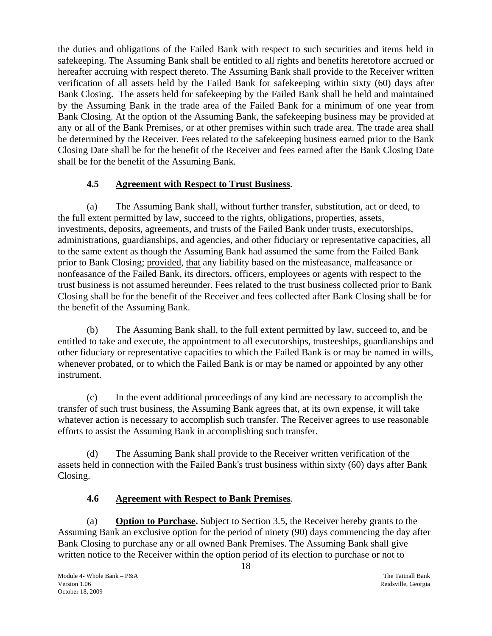the duties and obligations of the Failed Bank with respect to such securities and items held in safekeeping. The Assuming Bank shall be entitled to all rights and benefits heretofore accrued or hereafter accruing with respect thereto. The Assuming Bank shall provide to the Receiver written verification of all assets held by the Failed Bank for safekeeping within sixty (60) days after Bank Closing. The assets held for safekeeping by the Failed Bank shall be held and maintained by the Assuming Bank in the trade area of the Failed Bank for a minimum of one year from Bank Closing. At the option of the Assuming Bank, the safekeeping business may be provided at any or all of the Bank Premises, or at other premises within such trade area. The trade area shall be determined by the Receiver. Fees related to the safekeeping business earned prior to the Bank Closing Date shall be for the benefit of the Receiver and fees earned after the Bank Closing Date shall be for the benefit of the Assuming Bank.

# **4.5 Agreement with Respect to Trust Business**.

<span id="page-21-0"></span>(a) The Assuming Bank shall, without further transfer, substitution, act or deed, to the full extent permitted by law, succeed to the rights, obligations, properties, assets, investments, deposits, agreements, and trusts of the Failed Bank under trusts, executorships, administrations, guardianships, and agencies, and other fiduciary or representative capacities, all to the same extent as though the Assuming Bank had assumed the same from the Failed Bank prior to Bank Closing; provided, that any liability based on the misfeasance, malfeasance or nonfeasance of the Failed Bank, its directors, officers, employees or agents with respect to the trust business is not assumed hereunder. Fees related to the trust business collected prior to Bank Closing shall be for the benefit of the Receiver and fees collected after Bank Closing shall be for the benefit of the Assuming Bank.

(b) The Assuming Bank shall, to the full extent permitted by law, succeed to, and be entitled to take and execute, the appointment to all executorships, trusteeships, guardianships and other fiduciary or representative capacities to which the Failed Bank is or may be named in wills, whenever probated, or to which the Failed Bank is or may be named or appointed by any other instrument.

(c) In the event additional proceedings of any kind are necessary to accomplish the transfer of such trust business, the Assuming Bank agrees that, at its own expense, it will take whatever action is necessary to accomplish such transfer. The Receiver agrees to use reasonable efforts to assist the Assuming Bank in accomplishing such transfer.

(d) The Assuming Bank shall provide to the Receiver written verification of the assets held in connection with the Failed Bank's trust business within sixty (60) days after Bank Closing.

# **4.6 Agreement with Respect to Bank Premises**.

<span id="page-21-1"></span>(a) **Option to Purchase.** Subject to Section 3.5, the Receiver hereby grants to the Assuming Bank an exclusive option for the period of ninety (90) days commencing the day after Bank Closing to purchase any or all owned Bank Premises. The Assuming Bank shall give written notice to the Receiver within the option period of its election to purchase or not to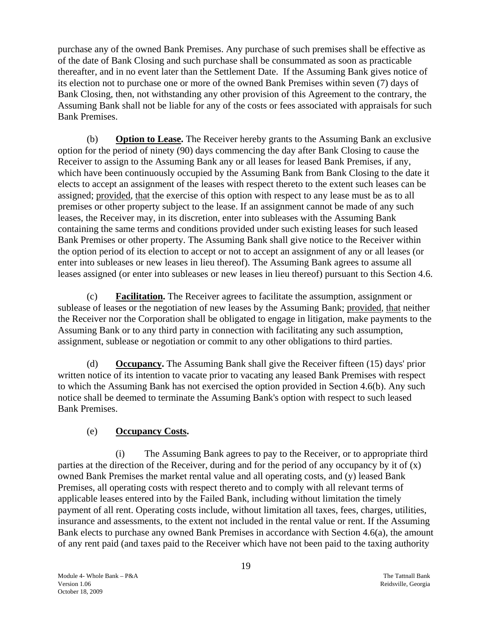purchase any of the owned Bank Premises. Any purchase of such premises shall be effective as of the date of Bank Closing and such purchase shall be consummated as soon as practicable thereafter, and in no event later than the Settlement Date. If the Assuming Bank gives notice of its election not to purchase one or more of the owned Bank Premises within seven (7) days of Bank Closing, then, not withstanding any other provision of this Agreement to the contrary, the Assuming Bank shall not be liable for any of the costs or fees associated with appraisals for such Bank Premises.

(b) **Option to Lease.** The Receiver hereby grants to the Assuming Bank an exclusive option for the period of ninety (90) days commencing the day after Bank Closing to cause the Receiver to assign to the Assuming Bank any or all leases for leased Bank Premises, if any, which have been continuously occupied by the Assuming Bank from Bank Closing to the date it elects to accept an assignment of the leases with respect thereto to the extent such leases can be assigned; provided, that the exercise of this option with respect to any lease must be as to all premises or other property subject to the lease. If an assignment cannot be made of any such leases, the Receiver may, in its discretion, enter into subleases with the Assuming Bank containing the same terms and conditions provided under such existing leases for such leased Bank Premises or other property. The Assuming Bank shall give notice to the Receiver within the option period of its election to accept or not to accept an assignment of any or all leases (or enter into subleases or new leases in lieu thereof). The Assuming Bank agrees to assume all leases assigned (or enter into subleases or new leases in lieu thereof) pursuant to this Section 4.6.

(c) **Facilitation.** The Receiver agrees to facilitate the assumption, assignment or sublease of leases or the negotiation of new leases by the Assuming Bank; provided, that neither the Receiver nor the Corporation shall be obligated to engage in litigation, make payments to the Assuming Bank or to any third party in connection with facilitating any such assumption, assignment, sublease or negotiation or commit to any other obligations to third parties.

(d) **Occupancy.** The Assuming Bank shall give the Receiver fifteen (15) days' prior written notice of its intention to vacate prior to vacating any leased Bank Premises with respect to which the Assuming Bank has not exercised the option provided in Section 4.6(b). Any such notice shall be deemed to terminate the Assuming Bank's option with respect to such leased Bank Premises.

# (e) **Occupancy Costs.**

(i) The Assuming Bank agrees to pay to the Receiver, or to appropriate third parties at the direction of the Receiver, during and for the period of any occupancy by it of (x) owned Bank Premises the market rental value and all operating costs, and (y) leased Bank Premises, all operating costs with respect thereto and to comply with all relevant terms of applicable leases entered into by the Failed Bank, including without limitation the timely payment of all rent. Operating costs include, without limitation all taxes, fees, charges, utilities, insurance and assessments, to the extent not included in the rental value or rent. If the Assuming Bank elects to purchase any owned Bank Premises in accordance with Section 4.6(a), the amount of any rent paid (and taxes paid to the Receiver which have not been paid to the taxing authority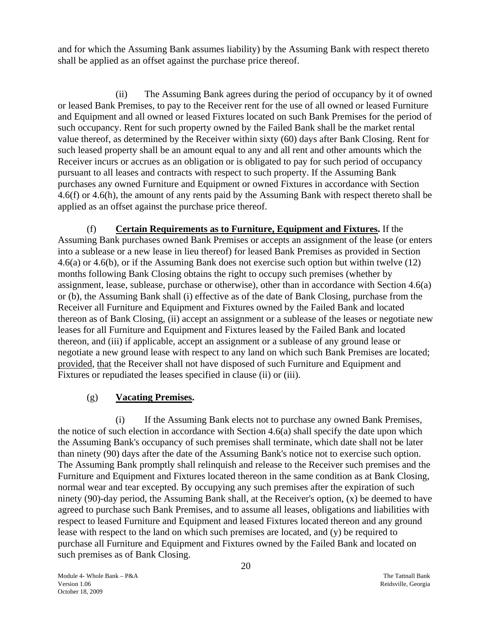and for which the Assuming Bank assumes liability) by the Assuming Bank with respect thereto shall be applied as an offset against the purchase price thereof.

(ii) The Assuming Bank agrees during the period of occupancy by it of owned or leased Bank Premises, to pay to the Receiver rent for the use of all owned or leased Furniture and Equipment and all owned or leased Fixtures located on such Bank Premises for the period of such occupancy. Rent for such property owned by the Failed Bank shall be the market rental value thereof, as determined by the Receiver within sixty (60) days after Bank Closing. Rent for such leased property shall be an amount equal to any and all rent and other amounts which the Receiver incurs or accrues as an obligation or is obligated to pay for such period of occupancy pursuant to all leases and contracts with respect to such property. If the Assuming Bank purchases any owned Furniture and Equipment or owned Fixtures in accordance with Section 4.6(f) or 4.6(h), the amount of any rents paid by the Assuming Bank with respect thereto shall be applied as an offset against the purchase price thereof.

(f) **Certain Requirements as to Furniture, Equipment and Fixtures.** If the Assuming Bank purchases owned Bank Premises or accepts an assignment of the lease (or enters into a sublease or a new lease in lieu thereof) for leased Bank Premises as provided in Section 4.6(a) or 4.6(b), or if the Assuming Bank does not exercise such option but within twelve (12) months following Bank Closing obtains the right to occupy such premises (whether by assignment, lease, sublease, purchase or otherwise), other than in accordance with Section 4.6(a) or (b), the Assuming Bank shall (i) effective as of the date of Bank Closing, purchase from the Receiver all Furniture and Equipment and Fixtures owned by the Failed Bank and located thereon as of Bank Closing, (ii) accept an assignment or a sublease of the leases or negotiate new leases for all Furniture and Equipment and Fixtures leased by the Failed Bank and located thereon, and (iii) if applicable, accept an assignment or a sublease of any ground lease or negotiate a new ground lease with respect to any land on which such Bank Premises are located; provided, that the Receiver shall not have disposed of such Furniture and Equipment and Fixtures or repudiated the leases specified in clause (ii) or (iii).

# (g) **Vacating Premises.**

(i) If the Assuming Bank elects not to purchase any owned Bank Premises, the notice of such election in accordance with Section 4.6(a) shall specify the date upon which the Assuming Bank's occupancy of such premises shall terminate, which date shall not be later than ninety (90) days after the date of the Assuming Bank's notice not to exercise such option. The Assuming Bank promptly shall relinquish and release to the Receiver such premises and the Furniture and Equipment and Fixtures located thereon in the same condition as at Bank Closing, normal wear and tear excepted. By occupying any such premises after the expiration of such ninety (90)-day period, the Assuming Bank shall, at the Receiver's option, (x) be deemed to have agreed to purchase such Bank Premises, and to assume all leases, obligations and liabilities with respect to leased Furniture and Equipment and leased Fixtures located thereon and any ground lease with respect to the land on which such premises are located, and (y) be required to purchase all Furniture and Equipment and Fixtures owned by the Failed Bank and located on such premises as of Bank Closing.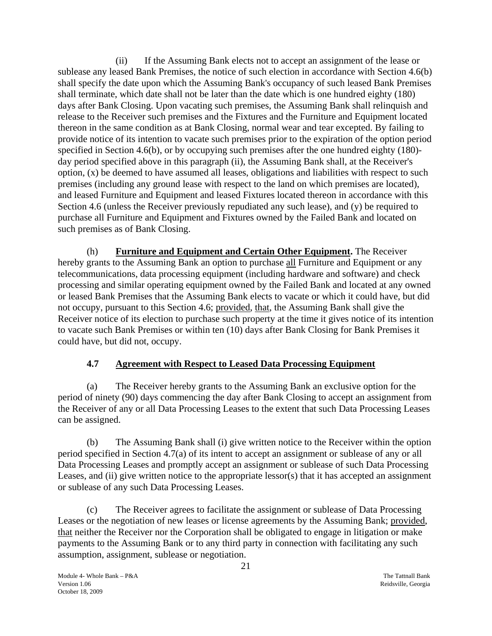(ii) If the Assuming Bank elects not to accept an assignment of the lease or sublease any leased Bank Premises, the notice of such election in accordance with Section 4.6(b) shall specify the date upon which the Assuming Bank's occupancy of such leased Bank Premises shall terminate, which date shall not be later than the date which is one hundred eighty (180) days after Bank Closing. Upon vacating such premises, the Assuming Bank shall relinquish and release to the Receiver such premises and the Fixtures and the Furniture and Equipment located thereon in the same condition as at Bank Closing, normal wear and tear excepted. By failing to provide notice of its intention to vacate such premises prior to the expiration of the option period specified in Section 4.6(b), or by occupying such premises after the one hundred eighty (180) day period specified above in this paragraph (ii), the Assuming Bank shall, at the Receiver's option, (x) be deemed to have assumed all leases, obligations and liabilities with respect to such premises (including any ground lease with respect to the land on which premises are located), and leased Furniture and Equipment and leased Fixtures located thereon in accordance with this Section 4.6 (unless the Receiver previously repudiated any such lease), and (y) be required to purchase all Furniture and Equipment and Fixtures owned by the Failed Bank and located on such premises as of Bank Closing.

(h) **Furniture and Equipment and Certain Other Equipment.** The Receiver hereby grants to the Assuming Bank an option to purchase all Furniture and Equipment or any telecommunications, data processing equipment (including hardware and software) and check processing and similar operating equipment owned by the Failed Bank and located at any owned or leased Bank Premises that the Assuming Bank elects to vacate or which it could have, but did not occupy, pursuant to this Section 4.6; provided, that, the Assuming Bank shall give the Receiver notice of its election to purchase such property at the time it gives notice of its intention to vacate such Bank Premises or within ten (10) days after Bank Closing for Bank Premises it could have, but did not, occupy.

# **4.7 Agreement with Respect to Leased Data Processing Equipment**

<span id="page-24-0"></span>(a) The Receiver hereby grants to the Assuming Bank an exclusive option for the period of ninety (90) days commencing the day after Bank Closing to accept an assignment from the Receiver of any or all Data Processing Leases to the extent that such Data Processing Leases can be assigned.

(b) The Assuming Bank shall (i) give written notice to the Receiver within the option period specified in Section 4.7(a) of its intent to accept an assignment or sublease of any or all Data Processing Leases and promptly accept an assignment or sublease of such Data Processing Leases, and (ii) give written notice to the appropriate lessor(s) that it has accepted an assignment or sublease of any such Data Processing Leases.

(c) The Receiver agrees to facilitate the assignment or sublease of Data Processing Leases or the negotiation of new leases or license agreements by the Assuming Bank; provided, that neither the Receiver nor the Corporation shall be obligated to engage in litigation or make payments to the Assuming Bank or to any third party in connection with facilitating any such assumption, assignment, sublease or negotiation.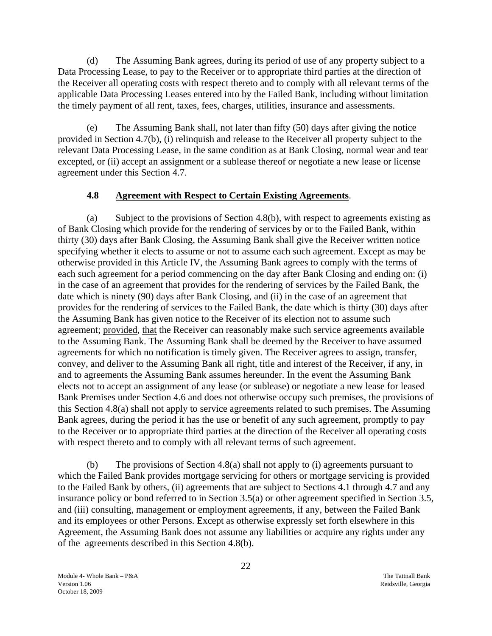(d) The Assuming Bank agrees, during its period of use of any property subject to a Data Processing Lease, to pay to the Receiver or to appropriate third parties at the direction of the Receiver all operating costs with respect thereto and to comply with all relevant terms of the applicable Data Processing Leases entered into by the Failed Bank, including without limitation the timely payment of all rent, taxes, fees, charges, utilities, insurance and assessments.

(e) The Assuming Bank shall, not later than fifty (50) days after giving the notice provided in Section 4.7(b), (i) relinquish and release to the Receiver all property subject to the relevant Data Processing Lease, in the same condition as at Bank Closing, normal wear and tear excepted, or (ii) accept an assignment or a sublease thereof or negotiate a new lease or license agreement under this Section 4.7.

#### **4.8 Agreement with Respect to Certain Existing Agreements**.

<span id="page-25-0"></span>(a) Subject to the provisions of Section 4.8(b), with respect to agreements existing as of Bank Closing which provide for the rendering of services by or to the Failed Bank, within thirty (30) days after Bank Closing, the Assuming Bank shall give the Receiver written notice specifying whether it elects to assume or not to assume each such agreement. Except as may be otherwise provided in this Article IV, the Assuming Bank agrees to comply with the terms of each such agreement for a period commencing on the day after Bank Closing and ending on: (i) in the case of an agreement that provides for the rendering of services by the Failed Bank, the date which is ninety (90) days after Bank Closing, and (ii) in the case of an agreement that provides for the rendering of services to the Failed Bank, the date which is thirty (30) days after the Assuming Bank has given notice to the Receiver of its election not to assume such agreement; provided, that the Receiver can reasonably make such service agreements available to the Assuming Bank. The Assuming Bank shall be deemed by the Receiver to have assumed agreements for which no notification is timely given. The Receiver agrees to assign, transfer, convey, and deliver to the Assuming Bank all right, title and interest of the Receiver, if any, in and to agreements the Assuming Bank assumes hereunder. In the event the Assuming Bank elects not to accept an assignment of any lease (or sublease) or negotiate a new lease for leased Bank Premises under Section 4.6 and does not otherwise occupy such premises, the provisions of this Section 4.8(a) shall not apply to service agreements related to such premises. The Assuming Bank agrees, during the period it has the use or benefit of any such agreement, promptly to pay to the Receiver or to appropriate third parties at the direction of the Receiver all operating costs with respect thereto and to comply with all relevant terms of such agreement.

(b) The provisions of Section 4.8(a) shall not apply to (i) agreements pursuant to which the Failed Bank provides mortgage servicing for others or mortgage servicing is provided to the Failed Bank by others, (ii) agreements that are subject to Sections 4.1 through 4.7 and any insurance policy or bond referred to in Section 3.5(a) or other agreement specified in Section 3.5, and (iii) consulting, management or employment agreements, if any, between the Failed Bank and its employees or other Persons. Except as otherwise expressly set forth elsewhere in this Agreement, the Assuming Bank does not assume any liabilities or acquire any rights under any of the agreements described in this Section 4.8(b).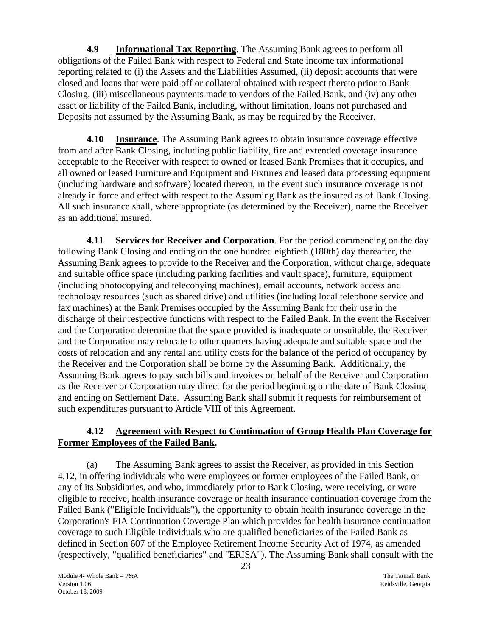<span id="page-26-3"></span><span id="page-26-0"></span> **4.9 Informational Tax Reporting**. The Assuming Bank agrees to perform all obligations of the Failed Bank with respect to Federal and State income tax informational reporting related to (i) the Assets and the Liabilities Assumed, (ii) deposit accounts that were closed and loans that were paid off or collateral obtained with respect thereto prior to Bank Closing, (iii) miscellaneous payments made to vendors of the Failed Bank, and (iv) any other asset or liability of the Failed Bank, including, without limitation, loans not purchased and Deposits not assumed by the Assuming Bank, as may be required by the Receiver.

<span id="page-26-1"></span>**4.10 Insurance**. The Assuming Bank agrees to obtain insurance coverage effective from and after Bank Closing, including public liability, fire and extended coverage insurance acceptable to the Receiver with respect to owned or leased Bank Premises that it occupies, and all owned or leased Furniture and Equipment and Fixtures and leased data processing equipment (including hardware and software) located thereon, in the event such insurance coverage is not already in force and effect with respect to the Assuming Bank as the insured as of Bank Closing. All such insurance shall, where appropriate (as determined by the Receiver), name the Receiver as an additional insured.

**4.11 Services for Receiver and Corporation**. For the period commencing on the day following Bank Closing and ending on the one hundred eightieth (180th) day thereafter, the Assuming Bank agrees to provide to the Receiver and the Corporation, without charge, adequate and suitable office space (including parking facilities and vault space), furniture, equipment (including photocopying and telecopying machines), email accounts, network access and technology resources (such as shared drive) and utilities (including local telephone service and fax machines) at the Bank Premises occupied by the Assuming Bank for their use in the discharge of their respective functions with respect to the Failed Bank. In the event the Receiver and the Corporation determine that the space provided is inadequate or unsuitable, the Receiver and the Corporation may relocate to other quarters having adequate and suitable space and the costs of relocation and any rental and utility costs for the balance of the period of occupancy by the Receiver and the Corporation shall be borne by the Assuming Bank. Additionally, the Assuming Bank agrees to pay such bills and invoices on behalf of the Receiver and Corporation as the Receiver or Corporation may direct for the period beginning on the date of Bank Closing and ending on Settlement Date. Assuming Bank shall submit it requests for reimbursement of such expenditures pursuant to Article VIII of this Agreement.

# <span id="page-26-2"></span>**4.12 Agreement with Respect to Continuation of Group Health Plan Coverage for Former Employees of the Failed Bank.**

(a) The Assuming Bank agrees to assist the Receiver, as provided in this Section 4.12, in offering individuals who were employees or former employees of the Failed Bank, or any of its Subsidiaries, and who, immediately prior to Bank Closing, were receiving, or were eligible to receive, health insurance coverage or health insurance continuation coverage from the Failed Bank ("Eligible Individuals"), the opportunity to obtain health insurance coverage in the Corporation's FIA Continuation Coverage Plan which provides for health insurance continuation coverage to such Eligible Individuals who are qualified beneficiaries of the Failed Bank as defined in Section 607 of the Employee Retirement Income Security Act of 1974, as amended (respectively, "qualified beneficiaries" and "ERISA"). The Assuming Bank shall consult with the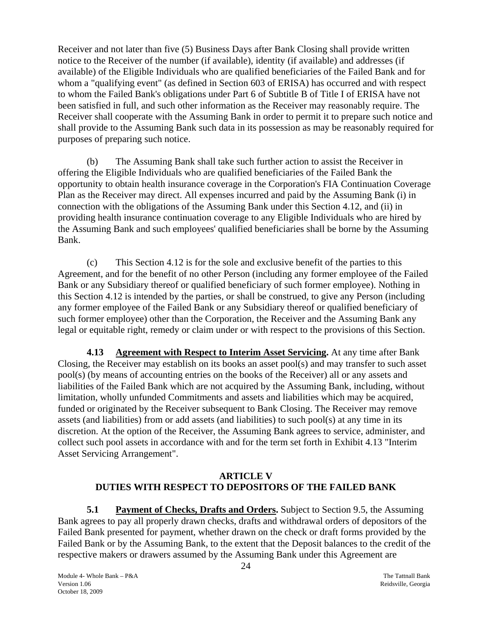Receiver and not later than five (5) Business Days after Bank Closing shall provide written notice to the Receiver of the number (if available), identity (if available) and addresses (if available) of the Eligible Individuals who are qualified beneficiaries of the Failed Bank and for whom a "qualifying event" (as defined in Section 603 of ERISA) has occurred and with respect to whom the Failed Bank's obligations under Part 6 of Subtitle B of Title I of ERISA have not been satisfied in full, and such other information as the Receiver may reasonably require. The Receiver shall cooperate with the Assuming Bank in order to permit it to prepare such notice and shall provide to the Assuming Bank such data in its possession as may be reasonably required for purposes of preparing such notice.

(b) The Assuming Bank shall take such further action to assist the Receiver in offering the Eligible Individuals who are qualified beneficiaries of the Failed Bank the opportunity to obtain health insurance coverage in the Corporation's FIA Continuation Coverage Plan as the Receiver may direct. All expenses incurred and paid by the Assuming Bank (i) in connection with the obligations of the Assuming Bank under this Section 4.12, and (ii) in providing health insurance continuation coverage to any Eligible Individuals who are hired by the Assuming Bank and such employees' qualified beneficiaries shall be borne by the Assuming Bank.

(c) This Section 4.12 is for the sole and exclusive benefit of the parties to this Agreement, and for the benefit of no other Person (including any former employee of the Failed Bank or any Subsidiary thereof or qualified beneficiary of such former employee). Nothing in this Section 4.12 is intended by the parties, or shall be construed, to give any Person (including any former employee of the Failed Bank or any Subsidiary thereof or qualified beneficiary of such former employee) other than the Corporation, the Receiver and the Assuming Bank any legal or equitable right, remedy or claim under or with respect to the provisions of this Section.

<span id="page-27-0"></span>**4.13 Agreement with Respect to Interim Asset Servicing.** At any time after Bank Closing, the Receiver may establish on its books an asset pool(s) and may transfer to such asset pool(s) (by means of accounting entries on the books of the Receiver) all or any assets and liabilities of the Failed Bank which are not acquired by the Assuming Bank, including, without limitation, wholly unfunded Commitments and assets and liabilities which may be acquired, funded or originated by the Receiver subsequent to Bank Closing. The Receiver may remove assets (and liabilities) from or add assets (and liabilities) to such pool(s) at any time in its discretion. At the option of the Receiver, the Assuming Bank agrees to service, administer, and collect such pool assets in accordance with and for the term set forth in Exhibit 4.13 "Interim Asset Servicing Arrangement".

### **ARTICLE V DUTIES WITH RESPECT TO DEPOSITORS OF THE FAILED BANK**

<span id="page-27-2"></span><span id="page-27-1"></span>**5.1 Payment of Checks, Drafts and Orders.** Subject to Section 9.5, the Assuming Bank agrees to pay all properly drawn checks, drafts and withdrawal orders of depositors of the Failed Bank presented for payment, whether drawn on the check or draft forms provided by the Failed Bank or by the Assuming Bank, to the extent that the Deposit balances to the credit of the respective makers or drawers assumed by the Assuming Bank under this Agreement are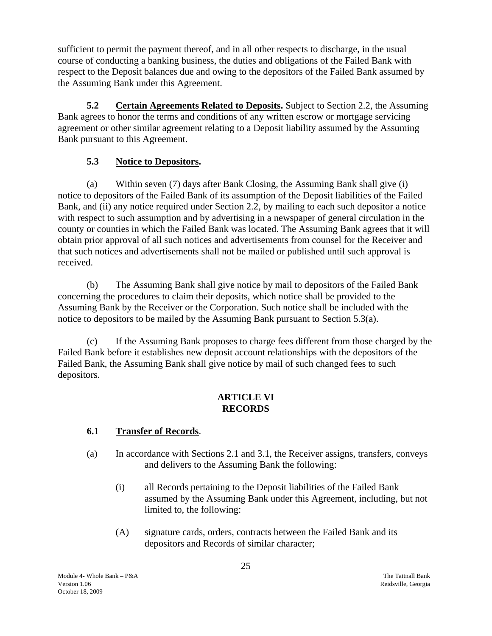sufficient to permit the payment thereof, and in all other respects to discharge, in the usual course of conducting a banking business, the duties and obligations of the Failed Bank with respect to the Deposit balances due and owing to the depositors of the Failed Bank assumed by the Assuming Bank under this Agreement.

<span id="page-28-0"></span>**5.2 Certain Agreements Related to Deposits.** Subject to Section 2.2, the Assuming Bank agrees to honor the terms and conditions of any written escrow or mortgage servicing agreement or other similar agreement relating to a Deposit liability assumed by the Assuming Bank pursuant to this Agreement.

# **5.3 Notice to Depositors.**

<span id="page-28-1"></span>(a) Within seven (7) days after Bank Closing, the Assuming Bank shall give (i) notice to depositors of the Failed Bank of its assumption of the Deposit liabilities of the Failed Bank, and (ii) any notice required under Section 2.2, by mailing to each such depositor a notice with respect to such assumption and by advertising in a newspaper of general circulation in the county or counties in which the Failed Bank was located. The Assuming Bank agrees that it will obtain prior approval of all such notices and advertisements from counsel for the Receiver and that such notices and advertisements shall not be mailed or published until such approval is received.

(b) The Assuming Bank shall give notice by mail to depositors of the Failed Bank concerning the procedures to claim their deposits, which notice shall be provided to the Assuming Bank by the Receiver or the Corporation. Such notice shall be included with the notice to depositors to be mailed by the Assuming Bank pursuant to Section 5.3(a).

<span id="page-28-2"></span>(c) If the Assuming Bank proposes to charge fees different from those charged by the Failed Bank before it establishes new deposit account relationships with the depositors of the Failed Bank, the Assuming Bank shall give notice by mail of such changed fees to such depositors.

# **ARTICLE VI RECORDS**

# <span id="page-28-3"></span> **6.1 Transfer of Records**.

- (a) In accordance with Sections 2.1 and 3.1, the Receiver assigns, transfers, conveys and delivers to the Assuming Bank the following:
	- (i) all Records pertaining to the Deposit liabilities of the Failed Bank assumed by the Assuming Bank under this Agreement, including, but not limited to, the following:
	- (A) signature cards, orders, contracts between the Failed Bank and its depositors and Records of similar character;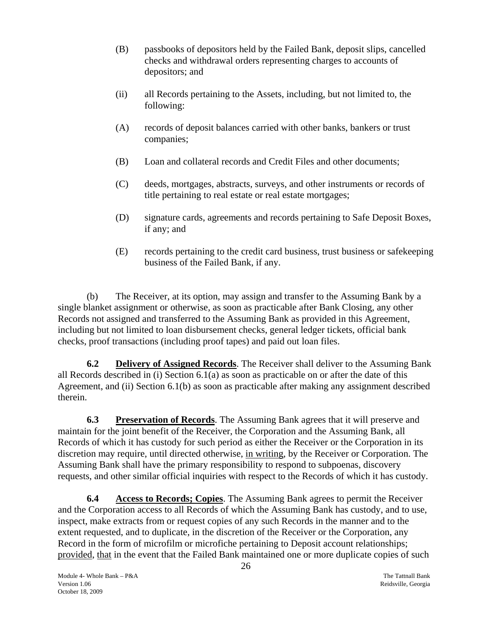- (B) passbooks of depositors held by the Failed Bank, deposit slips, cancelled checks and withdrawal orders representing charges to accounts of depositors; and
- (ii) all Records pertaining to the Assets, including, but not limited to, the following:
- (A) records of deposit balances carried with other banks, bankers or trust companies;
- (B) Loan and collateral records and Credit Files and other documents;
- (C) deeds, mortgages, abstracts, surveys, and other instruments or records of title pertaining to real estate or real estate mortgages;
- (D) signature cards, agreements and records pertaining to Safe Deposit Boxes, if any; and
- (E) records pertaining to the credit card business, trust business or safekeeping business of the Failed Bank, if any.

(b) The Receiver, at its option, may assign and transfer to the Assuming Bank by a single blanket assignment or otherwise, as soon as practicable after Bank Closing, any other Records not assigned and transferred to the Assuming Bank as provided in this Agreement, including but not limited to loan disbursement checks, general ledger tickets, official bank checks, proof transactions (including proof tapes) and paid out loan files.

<span id="page-29-0"></span>**6.2 Delivery of Assigned Records**. The Receiver shall deliver to the Assuming Bank all Records described in (i) Section 6.1(a) as soon as practicable on or after the date of this Agreement, and (ii) Section 6.1(b) as soon as practicable after making any assignment described therein.

<span id="page-29-1"></span>**6.3 Preservation of Records**. The Assuming Bank agrees that it will preserve and maintain for the joint benefit of the Receiver, the Corporation and the Assuming Bank, all Records of which it has custody for such period as either the Receiver or the Corporation in its discretion may require, until directed otherwise, in writing, by the Receiver or Corporation. The Assuming Bank shall have the primary responsibility to respond to subpoenas, discovery requests, and other similar official inquiries with respect to the Records of which it has custody.

**6.4** Access to Records; Copies. The Assuming Bank agrees to permit the Receiver and the Corporation access to all Records of which the Assuming Bank has custody, and to use, inspect, make extracts from or request copies of any such Records in the manner and to the extent requested, and to duplicate, in the discretion of the Receiver or the Corporation, any Record in the form of microfilm or microfiche pertaining to Deposit account relationships; provided, that in the event that the Failed Bank maintained one or more duplicate copies of such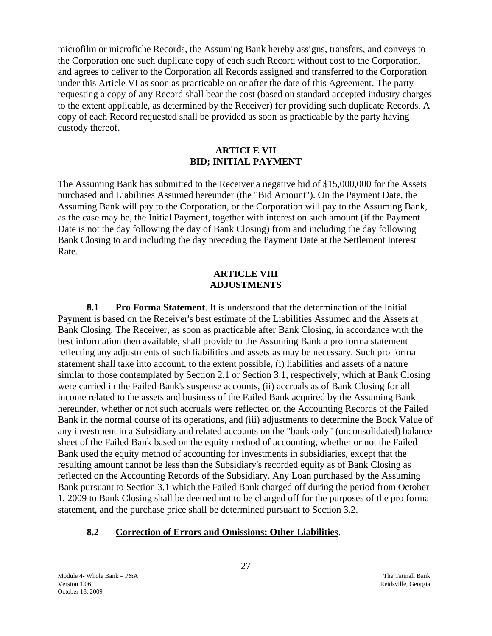microfilm or microfiche Records, the Assuming Bank hereby assigns, transfers, and conveys to the Corporation one such duplicate copy of each such Record without cost to the Corporation, and agrees to deliver to the Corporation all Records assigned and transferred to the Corporation under this Article VI as soon as practicable on or after the date of this Agreement. The party requesting a copy of any Record shall bear the cost (based on standard accepted industry charges to the extent applicable, as determined by the Receiver) for providing such duplicate Records. A copy of each Record requested shall be provided as soon as practicable by the party having custody thereof.

### **ARTICLE VII BID; INITIAL PAYMENT**

<span id="page-30-0"></span>The Assuming Bank has submitted to the Receiver a negative bid of \$15,000,000 for the Assets purchased and Liabilities Assumed hereunder (the "Bid Amount"). On the Payment Date, the Assuming Bank will pay to the Corporation, or the Corporation will pay to the Assuming Bank, as the case may be, the Initial Payment, together with interest on such amount (if the Payment Date is not the day following the day of Bank Closing) from and including the day following Bank Closing to and including the day preceding the Payment Date at the Settlement Interest Rate.

### **ARTICLE VIII ADJUSTMENTS**

<span id="page-30-2"></span><span id="page-30-1"></span>**8.1 Pro Forma Statement**. It is understood that the determination of the Initial Payment is based on the Receiver's best estimate of the Liabilities Assumed and the Assets at Bank Closing. The Receiver, as soon as practicable after Bank Closing, in accordance with the best information then available, shall provide to the Assuming Bank a pro forma statement reflecting any adjustments of such liabilities and assets as may be necessary. Such pro forma statement shall take into account, to the extent possible, (i) liabilities and assets of a nature similar to those contemplated by Section 2.1 or Section 3.1, respectively, which at Bank Closing were carried in the Failed Bank's suspense accounts, (ii) accruals as of Bank Closing for all income related to the assets and business of the Failed Bank acquired by the Assuming Bank hereunder, whether or not such accruals were reflected on the Accounting Records of the Failed Bank in the normal course of its operations, and (iii) adjustments to determine the Book Value of any investment in a Subsidiary and related accounts on the "bank only" (unconsolidated) balance sheet of the Failed Bank based on the equity method of accounting, whether or not the Failed Bank used the equity method of accounting for investments in subsidiaries, except that the resulting amount cannot be less than the Subsidiary's recorded equity as of Bank Closing as reflected on the Accounting Records of the Subsidiary. Any Loan purchased by the Assuming Bank pursuant to Section 3.1 which the Failed Bank charged off during the period from October 1, 2009 to Bank Closing shall be deemed not to be charged off for the purposes of the pro forma statement, and the purchase price shall be determined pursuant to Section 3.2.

#### <span id="page-30-3"></span>**8.2 Correction of Errors and Omissions; Other Liabilities**.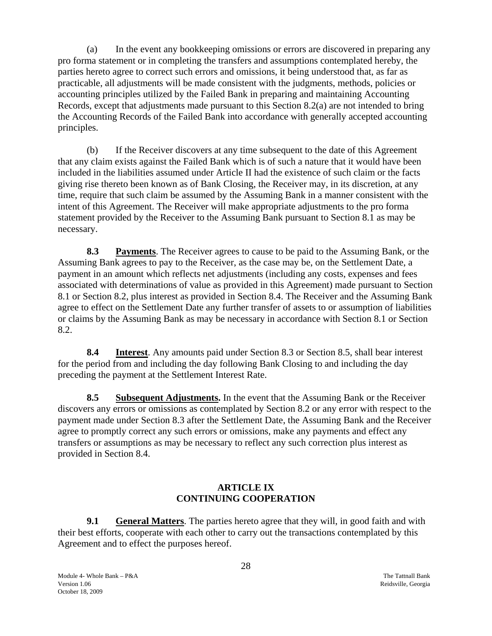(a) In the event any bookkeeping omissions or errors are discovered in preparing any pro forma statement or in completing the transfers and assumptions contemplated hereby, the parties hereto agree to correct such errors and omissions, it being understood that, as far as practicable, all adjustments will be made consistent with the judgments, methods, policies or accounting principles utilized by the Failed Bank in preparing and maintaining Accounting Records, except that adjustments made pursuant to this Section 8.2(a) are not intended to bring the Accounting Records of the Failed Bank into accordance with generally accepted accounting principles.

(b) If the Receiver discovers at any time subsequent to the date of this Agreement that any claim exists against the Failed Bank which is of such a nature that it would have been included in the liabilities assumed under Article II had the existence of such claim or the facts giving rise thereto been known as of Bank Closing, the Receiver may, in its discretion, at any time, require that such claim be assumed by the Assuming Bank in a manner consistent with the intent of this Agreement. The Receiver will make appropriate adjustments to the pro forma statement provided by the Receiver to the Assuming Bank pursuant to Section 8.1 as may be necessary.

<span id="page-31-0"></span>**8.3 Payments**. The Receiver agrees to cause to be paid to the Assuming Bank, or the Assuming Bank agrees to pay to the Receiver, as the case may be, on the Settlement Date, a payment in an amount which reflects net adjustments (including any costs, expenses and fees associated with determinations of value as provided in this Agreement) made pursuant to Section 8.1 or Section 8.2, plus interest as provided in Section 8.4. The Receiver and the Assuming Bank agree to effect on the Settlement Date any further transfer of assets to or assumption of liabilities or claims by the Assuming Bank as may be necessary in accordance with Section 8.1 or Section 8.2.

<span id="page-31-1"></span>**8.4 Interest**. Any amounts paid under Section 8.3 or Section 8.5, shall bear interest for the period from and including the day following Bank Closing to and including the day preceding the payment at the Settlement Interest Rate.

<span id="page-31-2"></span>**8.5 Subsequent Adjustments.** In the event that the Assuming Bank or the Receiver discovers any errors or omissions as contemplated by Section 8.2 or any error with respect to the payment made under Section 8.3 after the Settlement Date, the Assuming Bank and the Receiver agree to promptly correct any such errors or omissions, make any payments and effect any transfers or assumptions as may be necessary to reflect any such correction plus interest as provided in Section 8.4.

### **ARTICLE IX CONTINUING COOPERATION**

<span id="page-31-4"></span><span id="page-31-3"></span>**9.1** General Matters. The parties hereto agree that they will, in good faith and with their best efforts, cooperate with each other to carry out the transactions contemplated by this Agreement and to effect the purposes hereof.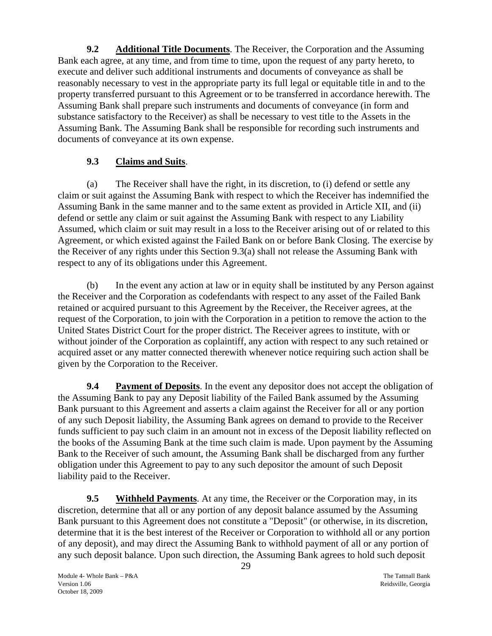<span id="page-32-0"></span> **9.2 Additional Title Documents**. The Receiver, the Corporation and the Assuming Bank each agree, at any time, and from time to time, upon the request of any party hereto, to execute and deliver such additional instruments and documents of conveyance as shall be reasonably necessary to vest in the appropriate party its full legal or equitable title in and to the property transferred pursuant to this Agreement or to be transferred in accordance herewith. The Assuming Bank shall prepare such instruments and documents of conveyance (in form and substance satisfactory to the Receiver) as shall be necessary to vest title to the Assets in the Assuming Bank. The Assuming Bank shall be responsible for recording such instruments and documents of conveyance at its own expense.

# **9.3 Claims and Suits**.

<span id="page-32-1"></span>(a) The Receiver shall have the right, in its discretion, to (i) defend or settle any claim or suit against the Assuming Bank with respect to which the Receiver has indemnified the Assuming Bank in the same manner and to the same extent as provided in Article XII, and (ii) defend or settle any claim or suit against the Assuming Bank with respect to any Liability Assumed, which claim or suit may result in a loss to the Receiver arising out of or related to this Agreement, or which existed against the Failed Bank on or before Bank Closing. The exercise by the Receiver of any rights under this Section 9.3(a) shall not release the Assuming Bank with respect to any of its obligations under this Agreement.

(b) In the event any action at law or in equity shall be instituted by any Person against the Receiver and the Corporation as codefendants with respect to any asset of the Failed Bank retained or acquired pursuant to this Agreement by the Receiver, the Receiver agrees, at the request of the Corporation, to join with the Corporation in a petition to remove the action to the United States District Court for the proper district. The Receiver agrees to institute, with or without joinder of the Corporation as coplaintiff, any action with respect to any such retained or acquired asset or any matter connected therewith whenever notice requiring such action shall be given by the Corporation to the Receiver.

<span id="page-32-2"></span>**9.4 Payment of Deposits**. In the event any depositor does not accept the obligation of the Assuming Bank to pay any Deposit liability of the Failed Bank assumed by the Assuming Bank pursuant to this Agreement and asserts a claim against the Receiver for all or any portion of any such Deposit liability, the Assuming Bank agrees on demand to provide to the Receiver funds sufficient to pay such claim in an amount not in excess of the Deposit liability reflected on the books of the Assuming Bank at the time such claim is made. Upon payment by the Assuming Bank to the Receiver of such amount, the Assuming Bank shall be discharged from any further obligation under this Agreement to pay to any such depositor the amount of such Deposit liability paid to the Receiver.

<span id="page-32-3"></span>**9.5 Withheld Payments**. At any time, the Receiver or the Corporation may, in its discretion, determine that all or any portion of any deposit balance assumed by the Assuming Bank pursuant to this Agreement does not constitute a "Deposit" (or otherwise, in its discretion, determine that it is the best interest of the Receiver or Corporation to withhold all or any portion of any deposit), and may direct the Assuming Bank to withhold payment of all or any portion of any such deposit balance. Upon such direction, the Assuming Bank agrees to hold such deposit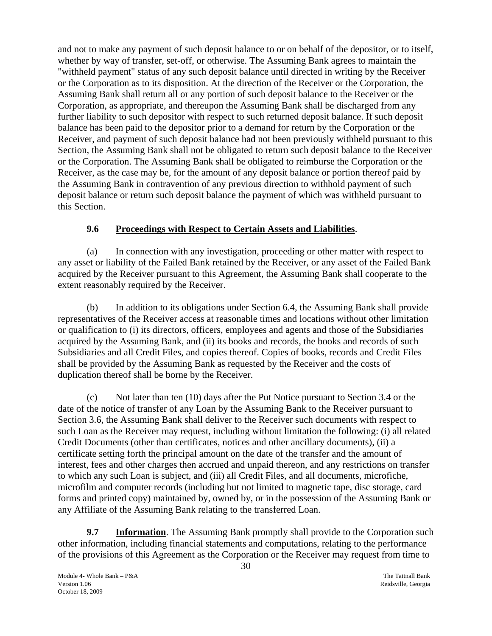and not to make any payment of such deposit balance to or on behalf of the depositor, or to itself, whether by way of transfer, set-off, or otherwise. The Assuming Bank agrees to maintain the "withheld payment" status of any such deposit balance until directed in writing by the Receiver or the Corporation as to its disposition. At the direction of the Receiver or the Corporation, the Assuming Bank shall return all or any portion of such deposit balance to the Receiver or the Corporation, as appropriate, and thereupon the Assuming Bank shall be discharged from any further liability to such depositor with respect to such returned deposit balance. If such deposit balance has been paid to the depositor prior to a demand for return by the Corporation or the Receiver, and payment of such deposit balance had not been previously withheld pursuant to this Section, the Assuming Bank shall not be obligated to return such deposit balance to the Receiver or the Corporation. The Assuming Bank shall be obligated to reimburse the Corporation or the Receiver, as the case may be, for the amount of any deposit balance or portion thereof paid by the Assuming Bank in contravention of any previous direction to withhold payment of such deposit balance or return such deposit balance the payment of which was withheld pursuant to this Section.

# **9.6 Proceedings with Respect to Certain Assets and Liabilities**.

<span id="page-33-0"></span>(a) In connection with any investigation, proceeding or other matter with respect to any asset or liability of the Failed Bank retained by the Receiver, or any asset of the Failed Bank acquired by the Receiver pursuant to this Agreement, the Assuming Bank shall cooperate to the extent reasonably required by the Receiver.

(b) In addition to its obligations under Section 6.4, the Assuming Bank shall provide representatives of the Receiver access at reasonable times and locations without other limitation or qualification to (i) its directors, officers, employees and agents and those of the Subsidiaries acquired by the Assuming Bank, and (ii) its books and records, the books and records of such Subsidiaries and all Credit Files, and copies thereof. Copies of books, records and Credit Files shall be provided by the Assuming Bank as requested by the Receiver and the costs of duplication thereof shall be borne by the Receiver.

(c) Not later than ten (10) days after the Put Notice pursuant to Section 3.4 or the date of the notice of transfer of any Loan by the Assuming Bank to the Receiver pursuant to Section 3.6, the Assuming Bank shall deliver to the Receiver such documents with respect to such Loan as the Receiver may request, including without limitation the following: (i) all related Credit Documents (other than certificates, notices and other ancillary documents), (ii) a certificate setting forth the principal amount on the date of the transfer and the amount of interest, fees and other charges then accrued and unpaid thereon, and any restrictions on transfer to which any such Loan is subject, and (iii) all Credit Files, and all documents, microfiche, microfilm and computer records (including but not limited to magnetic tape, disc storage, card forms and printed copy) maintained by, owned by, or in the possession of the Assuming Bank or any Affiliate of the Assuming Bank relating to the transferred Loan.

<span id="page-33-1"></span>**9.7** Information. The Assuming Bank promptly shall provide to the Corporation such other information, including financial statements and computations, relating to the performance of the provisions of this Agreement as the Corporation or the Receiver may request from time to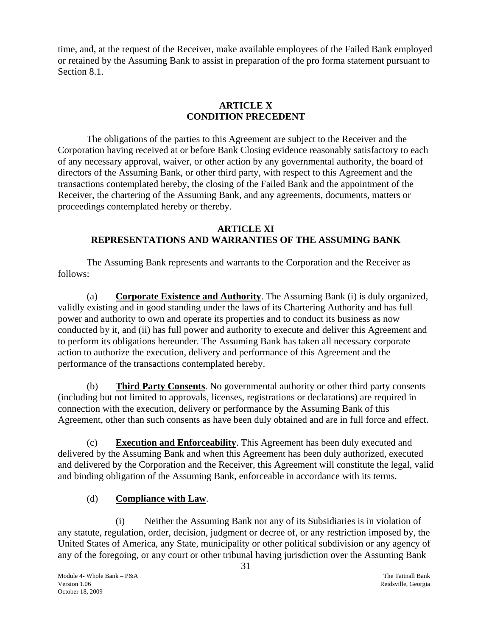time, and, at the request of the Receiver, make available employees of the Failed Bank employed or retained by the Assuming Bank to assist in preparation of the pro forma statement pursuant to Section 8.1.

# **ARTICLE X CONDITION PRECEDENT**

<span id="page-34-0"></span>The obligations of the parties to this Agreement are subject to the Receiver and the Corporation having received at or before Bank Closing evidence reasonably satisfactory to each of any necessary approval, waiver, or other action by any governmental authority, the board of directors of the Assuming Bank, or other third party, with respect to this Agreement and the transactions contemplated hereby, the closing of the Failed Bank and the appointment of the Receiver, the chartering of the Assuming Bank, and any agreements, documents, matters or proceedings contemplated hereby or thereby.

# **ARTICLE XI REPRESENTATIONS AND WARRANTIES OF THE ASSUMING BANK**

<span id="page-34-1"></span>The Assuming Bank represents and warrants to the Corporation and the Receiver as follows:

(a) **Corporate Existence and Authority**. The Assuming Bank (i) is duly organized, validly existing and in good standing under the laws of its Chartering Authority and has full power and authority to own and operate its properties and to conduct its business as now conducted by it, and (ii) has full power and authority to execute and deliver this Agreement and to perform its obligations hereunder. The Assuming Bank has taken all necessary corporate action to authorize the execution, delivery and performance of this Agreement and the performance of the transactions contemplated hereby.

(b) **Third Party Consents**. No governmental authority or other third party consents (including but not limited to approvals, licenses, registrations or declarations) are required in connection with the execution, delivery or performance by the Assuming Bank of this Agreement, other than such consents as have been duly obtained and are in full force and effect.

(c) **Execution and Enforceability**. This Agreement has been duly executed and delivered by the Assuming Bank and when this Agreement has been duly authorized, executed and delivered by the Corporation and the Receiver, this Agreement will constitute the legal, valid and binding obligation of the Assuming Bank, enforceable in accordance with its terms.

# (d) **Compliance with Law**.

(i) Neither the Assuming Bank nor any of its Subsidiaries is in violation of any statute, regulation, order, decision, judgment or decree of, or any restriction imposed by, the United States of America, any State, municipality or other political subdivision or any agency of any of the foregoing, or any court or other tribunal having jurisdiction over the Assuming Bank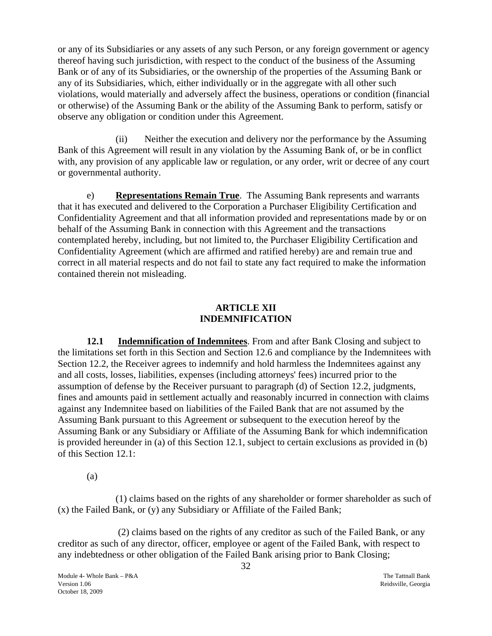or any of its Subsidiaries or any assets of any such Person, or any foreign government or agency thereof having such jurisdiction, with respect to the conduct of the business of the Assuming Bank or of any of its Subsidiaries, or the ownership of the properties of the Assuming Bank or any of its Subsidiaries, which, either individually or in the aggregate with all other such violations, would materially and adversely affect the business, operations or condition (financial or otherwise) of the Assuming Bank or the ability of the Assuming Bank to perform, satisfy or observe any obligation or condition under this Agreement.

(ii) Neither the execution and delivery nor the performance by the Assuming Bank of this Agreement will result in any violation by the Assuming Bank of, or be in conflict with, any provision of any applicable law or regulation, or any order, writ or decree of any court or governmental authority.

e) **Representations Remain True**. The Assuming Bank represents and warrants that it has executed and delivered to the Corporation a Purchaser Eligibility Certification and Confidentiality Agreement and that all information provided and representations made by or on behalf of the Assuming Bank in connection with this Agreement and the transactions contemplated hereby, including, but not limited to, the Purchaser Eligibility Certification and Confidentiality Agreement (which are affirmed and ratified hereby) are and remain true and correct in all material respects and do not fail to state any fact required to make the information contained therein not misleading.

### **ARTICLE XII INDEMNIFICATION**

<span id="page-35-0"></span>**12.1 Indemnification of Indemnitees**. From and after Bank Closing and subject to the limitations set forth in this Section and Section 12.6 and compliance by the Indemnitees with Section 12.2, the Receiver agrees to indemnify and hold harmless the Indemnitees against any and all costs, losses, liabilities, expenses (including attorneys' fees) incurred prior to the assumption of defense by the Receiver pursuant to paragraph (d) of Section 12.2, judgments, fines and amounts paid in settlement actually and reasonably incurred in connection with claims against any Indemnitee based on liabilities of the Failed Bank that are not assumed by the Assuming Bank pursuant to this Agreement or subsequent to the execution hereof by the Assuming Bank or any Subsidiary or Affiliate of the Assuming Bank for which indemnification is provided hereunder in (a) of this Section 12.1, subject to certain exclusions as provided in (b) of this Section 12.1:

(a)

(1) claims based on the rights of any shareholder or former shareholder as such of (x) the Failed Bank, or (y) any Subsidiary or Affiliate of the Failed Bank;

(2) claims based on the rights of any creditor as such of the Failed Bank, or any creditor as such of any director, officer, employee or agent of the Failed Bank, with respect to any indebtedness or other obligation of the Failed Bank arising prior to Bank Closing;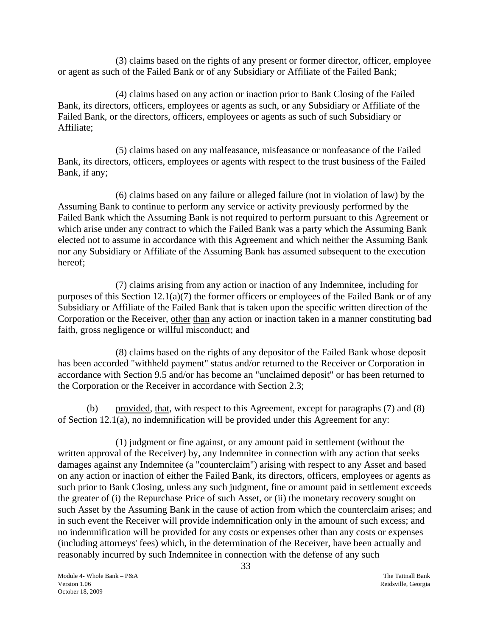(3) claims based on the rights of any present or former director, officer, employee or agent as such of the Failed Bank or of any Subsidiary or Affiliate of the Failed Bank;

(4) claims based on any action or inaction prior to Bank Closing of the Failed Bank, its directors, officers, employees or agents as such, or any Subsidiary or Affiliate of the Failed Bank, or the directors, officers, employees or agents as such of such Subsidiary or Affiliate;

(5) claims based on any malfeasance, misfeasance or nonfeasance of the Failed Bank, its directors, officers, employees or agents with respect to the trust business of the Failed Bank, if any;

(6) claims based on any failure or alleged failure (not in violation of law) by the Assuming Bank to continue to perform any service or activity previously performed by the Failed Bank which the Assuming Bank is not required to perform pursuant to this Agreement or which arise under any contract to which the Failed Bank was a party which the Assuming Bank elected not to assume in accordance with this Agreement and which neither the Assuming Bank nor any Subsidiary or Affiliate of the Assuming Bank has assumed subsequent to the execution hereof;

(7) claims arising from any action or inaction of any Indemnitee, including for purposes of this Section 12.1(a)(7) the former officers or employees of the Failed Bank or of any Subsidiary or Affiliate of the Failed Bank that is taken upon the specific written direction of the Corporation or the Receiver, other than any action or inaction taken in a manner constituting bad faith, gross negligence or willful misconduct; and

(8) claims based on the rights of any depositor of the Failed Bank whose deposit has been accorded "withheld payment" status and/or returned to the Receiver or Corporation in accordance with Section 9.5 and/or has become an "unclaimed deposit" or has been returned to the Corporation or the Receiver in accordance with Section 2.3;

(b) provided, that, with respect to this Agreement, except for paragraphs (7) and (8) of Section 12.1(a), no indemnification will be provided under this Agreement for any:

(1) judgment or fine against, or any amount paid in settlement (without the written approval of the Receiver) by, any Indemnitee in connection with any action that seeks damages against any Indemnitee (a "counterclaim") arising with respect to any Asset and based on any action or inaction of either the Failed Bank, its directors, officers, employees or agents as such prior to Bank Closing, unless any such judgment, fine or amount paid in settlement exceeds the greater of (i) the Repurchase Price of such Asset, or (ii) the monetary recovery sought on such Asset by the Assuming Bank in the cause of action from which the counterclaim arises; and in such event the Receiver will provide indemnification only in the amount of such excess; and no indemnification will be provided for any costs or expenses other than any costs or expenses (including attorneys' fees) which, in the determination of the Receiver, have been actually and reasonably incurred by such Indemnitee in connection with the defense of any such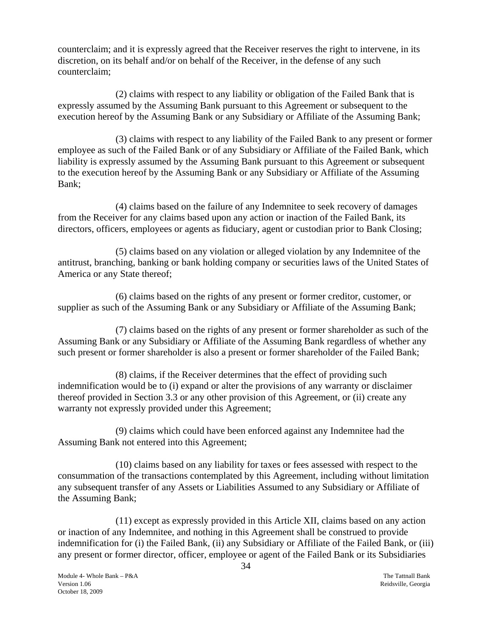counterclaim; and it is expressly agreed that the Receiver reserves the right to intervene, in its discretion, on its behalf and/or on behalf of the Receiver, in the defense of any such counterclaim;

(2) claims with respect to any liability or obligation of the Failed Bank that is expressly assumed by the Assuming Bank pursuant to this Agreement or subsequent to the execution hereof by the Assuming Bank or any Subsidiary or Affiliate of the Assuming Bank;

(3) claims with respect to any liability of the Failed Bank to any present or former employee as such of the Failed Bank or of any Subsidiary or Affiliate of the Failed Bank, which liability is expressly assumed by the Assuming Bank pursuant to this Agreement or subsequent to the execution hereof by the Assuming Bank or any Subsidiary or Affiliate of the Assuming Bank;

(4) claims based on the failure of any Indemnitee to seek recovery of damages from the Receiver for any claims based upon any action or inaction of the Failed Bank, its directors, officers, employees or agents as fiduciary, agent or custodian prior to Bank Closing;

(5) claims based on any violation or alleged violation by any Indemnitee of the antitrust, branching, banking or bank holding company or securities laws of the United States of America or any State thereof;

(6) claims based on the rights of any present or former creditor, customer, or supplier as such of the Assuming Bank or any Subsidiary or Affiliate of the Assuming Bank;

(7) claims based on the rights of any present or former shareholder as such of the Assuming Bank or any Subsidiary or Affiliate of the Assuming Bank regardless of whether any such present or former shareholder is also a present or former shareholder of the Failed Bank;

(8) claims, if the Receiver determines that the effect of providing such indemnification would be to (i) expand or alter the provisions of any warranty or disclaimer thereof provided in Section 3.3 or any other provision of this Agreement, or (ii) create any warranty not expressly provided under this Agreement;

(9) claims which could have been enforced against any Indemnitee had the Assuming Bank not entered into this Agreement;

(10) claims based on any liability for taxes or fees assessed with respect to the consummation of the transactions contemplated by this Agreement, including without limitation any subsequent transfer of any Assets or Liabilities Assumed to any Subsidiary or Affiliate of the Assuming Bank;

(11) except as expressly provided in this Article XII, claims based on any action or inaction of any Indemnitee, and nothing in this Agreement shall be construed to provide indemnification for (i) the Failed Bank, (ii) any Subsidiary or Affiliate of the Failed Bank, or (iii) any present or former director, officer, employee or agent of the Failed Bank or its Subsidiaries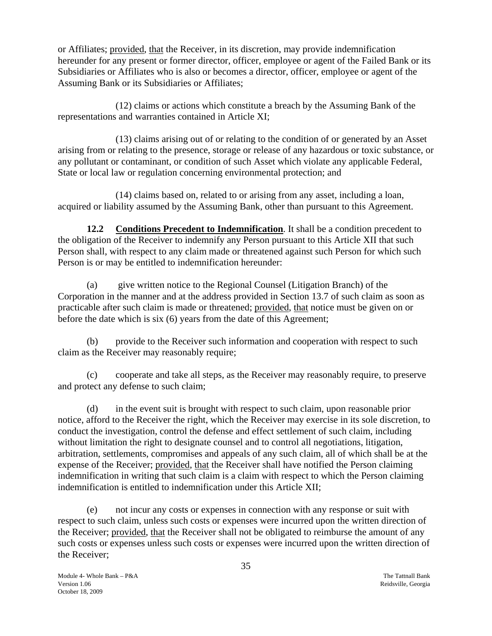or Affiliates; provided, that the Receiver, in its discretion, may provide indemnification hereunder for any present or former director, officer, employee or agent of the Failed Bank or its Subsidiaries or Affiliates who is also or becomes a director, officer, employee or agent of the Assuming Bank or its Subsidiaries or Affiliates;

(12) claims or actions which constitute a breach by the Assuming Bank of the representations and warranties contained in Article XI;

(13) claims arising out of or relating to the condition of or generated by an Asset arising from or relating to the presence, storage or release of any hazardous or toxic substance, or any pollutant or contaminant, or condition of such Asset which violate any applicable Federal, State or local law or regulation concerning environmental protection; and

(14) claims based on, related to or arising from any asset, including a loan, acquired or liability assumed by the Assuming Bank, other than pursuant to this Agreement.

<span id="page-38-0"></span>**12.2 Conditions Precedent to Indemnification**. It shall be a condition precedent to the obligation of the Receiver to indemnify any Person pursuant to this Article XII that such Person shall, with respect to any claim made or threatened against such Person for which such Person is or may be entitled to indemnification hereunder:

(a) give written notice to the Regional Counsel (Litigation Branch) of the Corporation in the manner and at the address provided in Section 13.7 of such claim as soon as practicable after such claim is made or threatened; provided, that notice must be given on or before the date which is six (6) years from the date of this Agreement;

(b) provide to the Receiver such information and cooperation with respect to such claim as the Receiver may reasonably require;

(c) cooperate and take all steps, as the Receiver may reasonably require, to preserve and protect any defense to such claim;

(d) in the event suit is brought with respect to such claim, upon reasonable prior notice, afford to the Receiver the right, which the Receiver may exercise in its sole discretion, to conduct the investigation, control the defense and effect settlement of such claim, including without limitation the right to designate counsel and to control all negotiations, litigation, arbitration, settlements, compromises and appeals of any such claim, all of which shall be at the expense of the Receiver; provided, that the Receiver shall have notified the Person claiming indemnification in writing that such claim is a claim with respect to which the Person claiming indemnification is entitled to indemnification under this Article XII;

(e) not incur any costs or expenses in connection with any response or suit with respect to such claim, unless such costs or expenses were incurred upon the written direction of the Receiver; provided, that the Receiver shall not be obligated to reimburse the amount of any such costs or expenses unless such costs or expenses were incurred upon the written direction of the Receiver;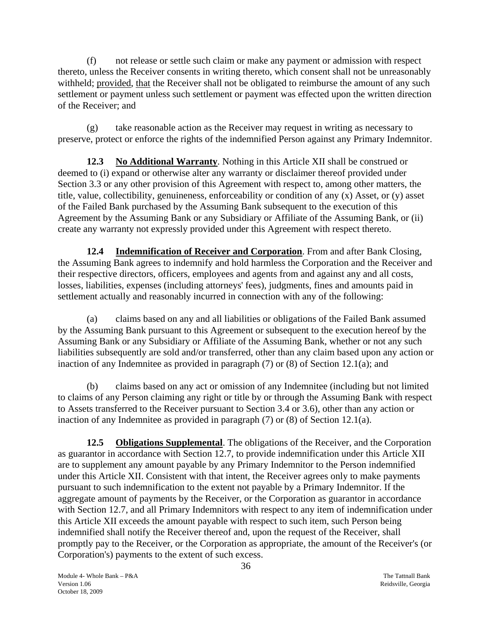(f) not release or settle such claim or make any payment or admission with respect thereto, unless the Receiver consents in writing thereto, which consent shall not be unreasonably withheld; provided, that the Receiver shall not be obligated to reimburse the amount of any such settlement or payment unless such settlement or payment was effected upon the written direction of the Receiver; and

(g) take reasonable action as the Receiver may request in writing as necessary to preserve, protect or enforce the rights of the indemnified Person against any Primary Indemnitor.

<span id="page-39-0"></span>**12.3** No **Additional Warranty**. Nothing in this Article XII shall be construed or deemed to (i) expand or otherwise alter any warranty or disclaimer thereof provided under Section 3.3 or any other provision of this Agreement with respect to, among other matters, the title, value, collectibility, genuineness, enforceability or condition of any (x) Asset, or (y) asset of the Failed Bank purchased by the Assuming Bank subsequent to the execution of this Agreement by the Assuming Bank or any Subsidiary or Affiliate of the Assuming Bank, or (ii) create any warranty not expressly provided under this Agreement with respect thereto.

<span id="page-39-1"></span>**12.4 Indemnification of Receiver and Corporation**. From and after Bank Closing, the Assuming Bank agrees to indemnify and hold harmless the Corporation and the Receiver and their respective directors, officers, employees and agents from and against any and all costs, losses, liabilities, expenses (including attorneys' fees), judgments, fines and amounts paid in settlement actually and reasonably incurred in connection with any of the following:

(a) claims based on any and all liabilities or obligations of the Failed Bank assumed by the Assuming Bank pursuant to this Agreement or subsequent to the execution hereof by the Assuming Bank or any Subsidiary or Affiliate of the Assuming Bank, whether or not any such liabilities subsequently are sold and/or transferred, other than any claim based upon any action or inaction of any Indemnitee as provided in paragraph (7) or (8) of Section 12.1(a); and

(b) claims based on any act or omission of any Indemnitee (including but not limited to claims of any Person claiming any right or title by or through the Assuming Bank with respect to Assets transferred to the Receiver pursuant to Section 3.4 or 3.6), other than any action or inaction of any Indemnitee as provided in paragraph (7) or (8) of Section 12.1(a).

<span id="page-39-2"></span>**12.5 Obligations Supplemental**. The obligations of the Receiver, and the Corporation as guarantor in accordance with Section 12.7, to provide indemnification under this Article XII are to supplement any amount payable by any Primary Indemnitor to the Person indemnified under this Article XII. Consistent with that intent, the Receiver agrees only to make payments pursuant to such indemnification to the extent not payable by a Primary Indemnitor. If the aggregate amount of payments by the Receiver, or the Corporation as guarantor in accordance with Section 12.7, and all Primary Indemnitors with respect to any item of indemnification under this Article XII exceeds the amount payable with respect to such item, such Person being indemnified shall notify the Receiver thereof and, upon the request of the Receiver, shall promptly pay to the Receiver, or the Corporation as appropriate, the amount of the Receiver's (or Corporation's) payments to the extent of such excess.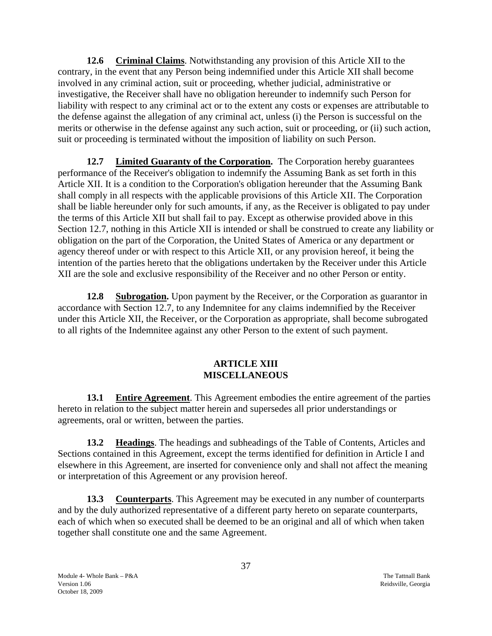<span id="page-40-1"></span>**12.6 Criminal Claims**. Notwithstanding any provision of this Article XII to the contrary, in the event that any Person being indemnified under this Article XII shall become involved in any criminal action, suit or proceeding, whether judicial, administrative or investigative, the Receiver shall have no obligation hereunder to indemnify such Person for liability with respect to any criminal act or to the extent any costs or expenses are attributable to the defense against the allegation of any criminal act, unless (i) the Person is successful on the merits or otherwise in the defense against any such action, suit or proceeding, or (ii) such action, suit or proceeding is terminated without the imposition of liability on such Person.

<span id="page-40-2"></span>**12.7 Limited Guaranty of the Corporation.** The Corporation hereby guarantees performance of the Receiver's obligation to indemnify the Assuming Bank as set forth in this Article XII. It is a condition to the Corporation's obligation hereunder that the Assuming Bank shall comply in all respects with the applicable provisions of this Article XII. The Corporation shall be liable hereunder only for such amounts, if any, as the Receiver is obligated to pay under the terms of this Article XII but shall fail to pay. Except as otherwise provided above in this Section 12.7, nothing in this Article XII is intended or shall be construed to create any liability or obligation on the part of the Corporation, the United States of America or any department or agency thereof under or with respect to this Article XII, or any provision hereof, it being the intention of the parties hereto that the obligations undertaken by the Receiver under this Article XII are the sole and exclusive responsibility of the Receiver and no other Person or entity.

<span id="page-40-3"></span><span id="page-40-0"></span>**12.8 Subrogation.** Upon payment by the Receiver, or the Corporation as guarantor in accordance with Section 12.7, to any Indemnitee for any claims indemnified by the Receiver under this Article XII, the Receiver, or the Corporation as appropriate, shall become subrogated to all rights of the Indemnitee against any other Person to the extent of such payment.

### **ARTICLE XIII MISCELLANEOUS**

<span id="page-40-5"></span><span id="page-40-4"></span>**13.1 Entire Agreement**. This Agreement embodies the entire agreement of the parties hereto in relation to the subject matter herein and supersedes all prior understandings or agreements, oral or written, between the parties.

<span id="page-40-6"></span>**13.2 Headings**. The headings and subheadings of the Table of Contents, Articles and Sections contained in this Agreement, except the terms identified for definition in Article I and elsewhere in this Agreement, are inserted for convenience only and shall not affect the meaning or interpretation of this Agreement or any provision hereof.

<span id="page-40-7"></span>**13.3 Counterparts**. This Agreement may be executed in any number of counterparts and by the duly authorized representative of a different party hereto on separate counterparts, each of which when so executed shall be deemed to be an original and all of which when taken together shall constitute one and the same Agreement.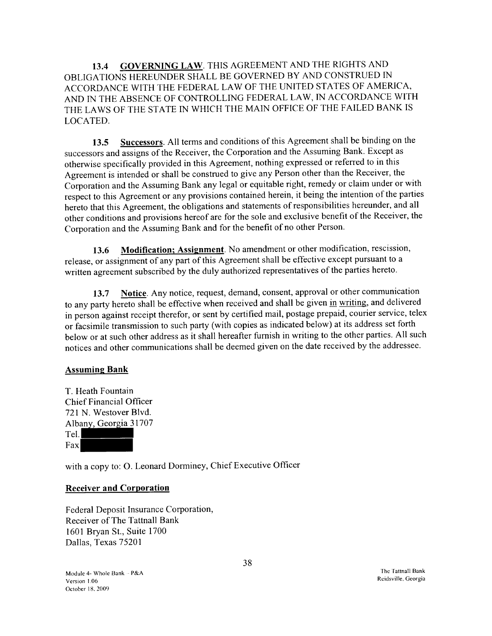13.4 GOVERNING LAW. THIS AGREEMENT AND THE RIGHTS AND OBLIGATIONS HEREUNDER SHALL BE GOVERNED BY AND CONSTRUED IN ACCORDANCE WITH THE FEDERAL LAW OF THE UNITED STATES OF AMERICA, AND IN THE ABSENCE OF CONTROLLING FEDERAL LAW, IN ACCORDANCE WITH THE LAWS OF THE STATE IN WHICH THE MAIN OFFICE OF THE FAILED BANK IS LOCATED.

13.5 Successors. All terms and conditions of this Agreement shall be binding on the successors and assigns of the Receiver, the Corporation and the Assuming Bank. Except as otherwise specifically provided in this Agreement, nothing expressed or referred to in this Agreement is intended or shall be construed to give any Person other than the Receiver, the Corporation and the Assuming Bank any legal or equitable right, remedy or claim under or with respect to this Agreement or any provisions contained herein, it being the intention of the parties hereto that this Agreement, the obligations and statements of responsibilities hereunder, and all other conditions and provisions hereof are for the sole and exclusive benefit of the Receiver, the Corporation and the Assuming Bank and for the benefit of no other Person.

13.6 Modification; Assignment. No amendment or other modification, rescission, release, or assignment of any part of this Agreement shall be effective except pursuant to a written agreement subscribed by the duly authorized representatives of the parties hereto.

13.7 Notice. Any notice, request, demand, consent, approval or other communication to any party hereto shall be effective when received and shall be given in writing, and delivered in person against receipt therefor, or sent by certified mail, postage prepaid, courier service, telex or facsimile transmission to such party (with copies as indicated below) at its address set forth below or at such other address as it shall hereafter furnish in writing to the other parties. All such notices and other communications shall be deemed given on the date received by the addressee.

#### Assuming Bank

T. Heath Fountain Chief Financial Officer 721 N. Westover Blvd. Albany, Georgia 31707 Tel. Fax

with a copy to: O. Leonard Dorminey, Chief Executive Officer

#### Receiver and Corporation

Federal Deposit Insurance Corporation, Receiver of The Tattnall Bank 1601 Bryan St., Suite 1700 Dallas, Texas 75201

Module 4- Whole Bank - P&A<br>
The Tattnall Bank<br>
Version 1.06<br>
Nextion 1.06 Rcidsville, Georgia Version 1.06 October 18, 2009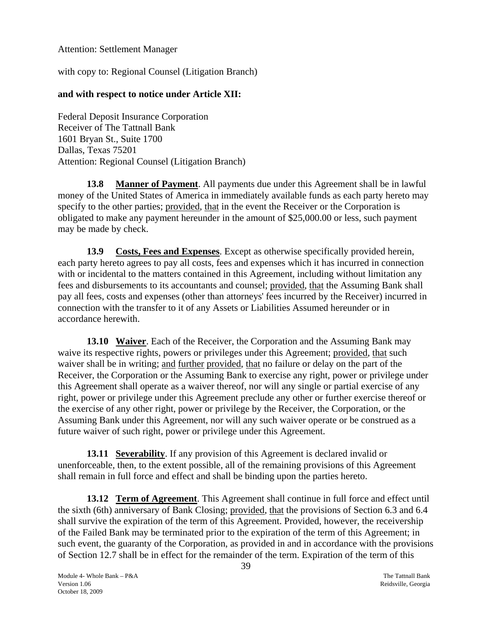Attention: Settlement Manager

with copy to: Regional Counsel (Litigation Branch)

# **and with respect to notice under Article XII:**

Federal Deposit Insurance Corporation Receiver of The Tattnall Bank 1601 Bryan St., Suite 1700 Dallas, Texas 75201 Attention: Regional Counsel (Litigation Branch)

<span id="page-42-0"></span>**13.8 Manner of Payment**. All payments due under this Agreement shall be in lawful money of the United States of America in immediately available funds as each party hereto may specify to the other parties; provided, that in the event the Receiver or the Corporation is obligated to make any payment hereunder in the amount of \$25,000.00 or less, such payment may be made by check.

<span id="page-42-1"></span>**13.9 Costs, Fees and Expenses**. Except as otherwise specifically provided herein, each party hereto agrees to pay all costs, fees and expenses which it has incurred in connection with or incidental to the matters contained in this Agreement, including without limitation any fees and disbursements to its accountants and counsel; provided, that the Assuming Bank shall pay all fees, costs and expenses (other than attorneys' fees incurred by the Receiver) incurred in connection with the transfer to it of any Assets or Liabilities Assumed hereunder or in accordance herewith.

<span id="page-42-2"></span>**13.10 Waiver**. Each of the Receiver, the Corporation and the Assuming Bank may waive its respective rights, powers or privileges under this Agreement; provided, that such waiver shall be in writing; and further provided, that no failure or delay on the part of the Receiver, the Corporation or the Assuming Bank to exercise any right, power or privilege under this Agreement shall operate as a waiver thereof, nor will any single or partial exercise of any right, power or privilege under this Agreement preclude any other or further exercise thereof or the exercise of any other right, power or privilege by the Receiver, the Corporation, or the Assuming Bank under this Agreement, nor will any such waiver operate or be construed as a future waiver of such right, power or privilege under this Agreement.

<span id="page-42-3"></span>**13.11 Severability**. If any provision of this Agreement is declared invalid or unenforceable, then, to the extent possible, all of the remaining provisions of this Agreement shall remain in full force and effect and shall be binding upon the parties hereto.

<span id="page-42-4"></span>**13.12 Term of Agreement**. This Agreement shall continue in full force and effect until the sixth (6th) anniversary of Bank Closing; provided, that the provisions of Section 6.3 and 6.4 shall survive the expiration of the term of this Agreement. Provided, however, the receivership of the Failed Bank may be terminated prior to the expiration of the term of this Agreement; in such event, the guaranty of the Corporation, as provided in and in accordance with the provisions of Section 12.7 shall be in effect for the remainder of the term. Expiration of the term of this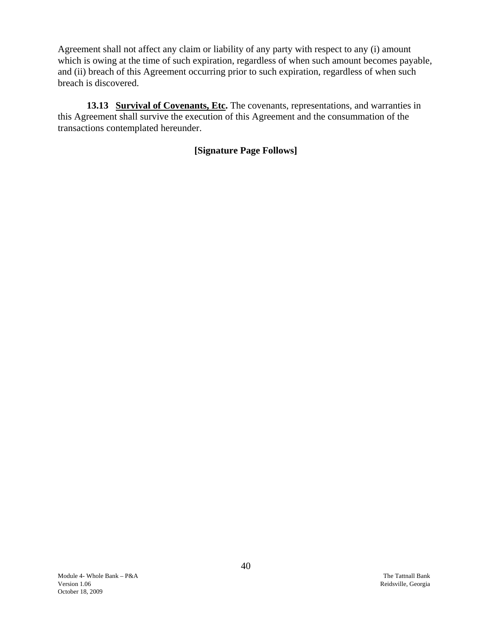Agreement shall not affect any claim or liability of any party with respect to any (i) amount which is owing at the time of such expiration, regardless of when such amount becomes payable, and (ii) breach of this Agreement occurring prior to such expiration, regardless of when such breach is discovered.

<span id="page-43-0"></span>**13.13 Survival of Covenants, Etc.** The covenants, representations, and warranties in this Agreement shall survive the execution of this Agreement and the consummation of the transactions contemplated hereunder.

# **[Signature Page Follows]**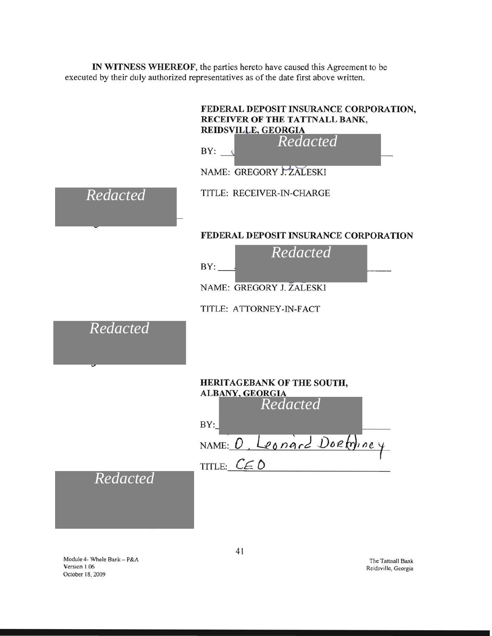**IN WITNESS WHEREOF,** the parties hereto have caused this Agreement to be executed by their duly authorized representatives as of the date first above written.

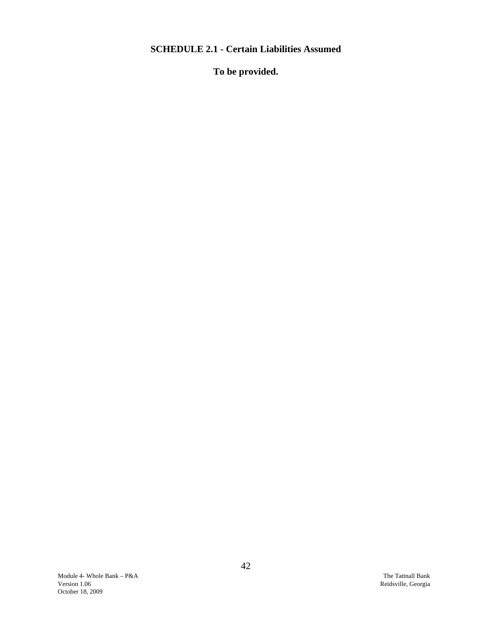# <span id="page-45-0"></span>**SCHEDULE 2.1 - Certain Liabilities Assumed**

**To be provided.**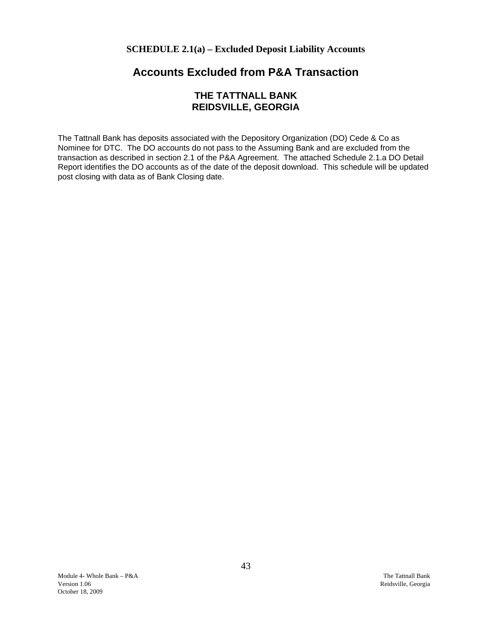**SCHEDULE 2.1(a) – Excluded Deposit Liability Accounts** 

# **Accounts Excluded from P&A Transaction**

# **THE TATTNALL BANK REIDSVILLE, GEORGIA**

The Tattnall Bank has deposits associated with the Depository Organization (DO) Cede & Co as Nominee for DTC. The DO accounts do not pass to the Assuming Bank and are excluded from the transaction as described in section 2.1 of the P&A Agreement. The attached Schedule 2.1.a DO Detail Report identifies the DO accounts as of the date of the deposit download. This schedule will be updated post closing with data as of Bank Closing date.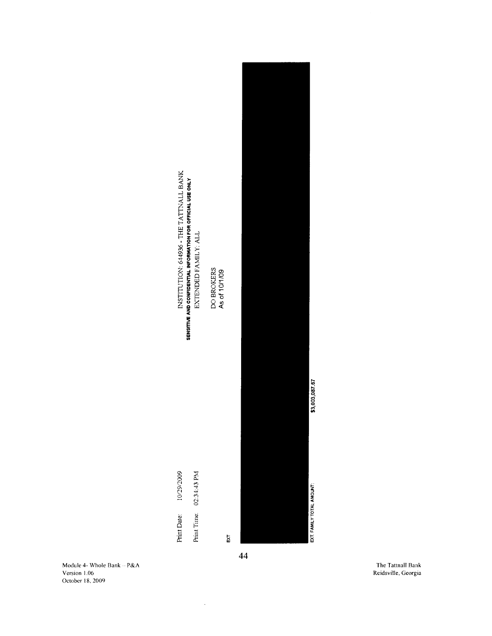

 $\frac{1}{2}$ 

Module 4- Whole Bank -- P&A Version 1.06 October i 8, 2009

The Tattnall Bank Reidsvile, Georgia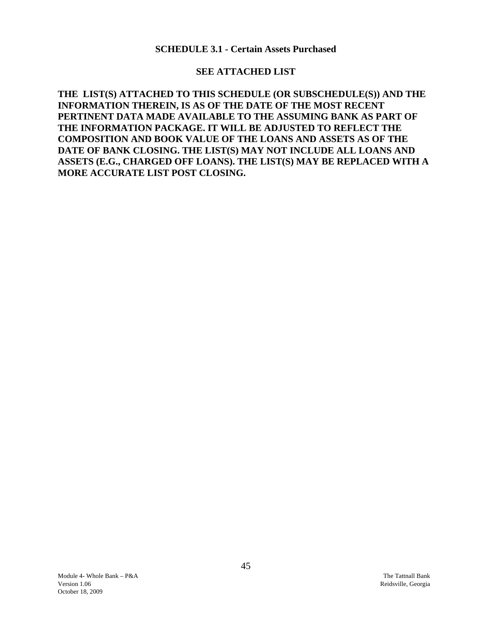#### **SCHEDULE 3.1 - Certain Assets Purchased**

### **SEE ATTACHED LIST**

<span id="page-48-0"></span>**THE LIST(S) ATTACHED TO THIS SCHEDULE (OR SUBSCHEDULE(S)) AND THE INFORMATION THEREIN, IS AS OF THE DATE OF THE MOST RECENT PERTINENT DATA MADE AVAILABLE TO THE ASSUMING BANK AS PART OF THE INFORMATION PACKAGE. IT WILL BE ADJUSTED TO REFLECT THE COMPOSITION AND BOOK VALUE OF THE LOANS AND ASSETS AS OF THE DATE OF BANK CLOSING. THE LIST(S) MAY NOT INCLUDE ALL LOANS AND ASSETS (E.G., CHARGED OFF LOANS). THE LIST(S) MAY BE REPLACED WITH A MORE ACCURATE LIST POST CLOSING.**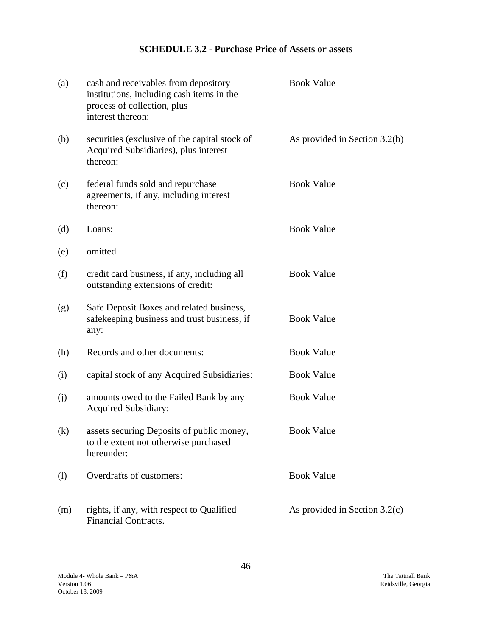# **SCHEDULE 3.2 - Purchase Price of Assets or assets**

<span id="page-49-0"></span>

| (a)               | cash and receivables from depository<br>institutions, including cash items in the<br>process of collection, plus<br>interest thereon: | <b>Book Value</b>               |
|-------------------|---------------------------------------------------------------------------------------------------------------------------------------|---------------------------------|
| (b)               | securities (exclusive of the capital stock of<br>Acquired Subsidiaries), plus interest<br>thereon:                                    | As provided in Section 3.2(b)   |
| (c)               | federal funds sold and repurchase<br>agreements, if any, including interest<br>thereon:                                               | <b>Book Value</b>               |
| (d)               | Loans:                                                                                                                                | <b>Book Value</b>               |
| (e)               | omitted                                                                                                                               |                                 |
| (f)               | credit card business, if any, including all<br>outstanding extensions of credit:                                                      | <b>Book Value</b>               |
| (g)               | Safe Deposit Boxes and related business,<br>safekeeping business and trust business, if<br>any:                                       | <b>Book Value</b>               |
| (h)               | Records and other documents:                                                                                                          | <b>Book Value</b>               |
| (i)               | capital stock of any Acquired Subsidiaries:                                                                                           | <b>Book Value</b>               |
| (j)               | amounts owed to the Failed Bank by any<br><b>Acquired Subsidiary:</b>                                                                 | <b>Book Value</b>               |
| $\left( k\right)$ | assets securing Deposits of public money,<br>to the extent not otherwise purchased<br>hereunder:                                      | <b>Book Value</b>               |
| (1)               | Overdrafts of customers:                                                                                                              | <b>Book Value</b>               |
| (m)               | rights, if any, with respect to Qualified<br><b>Financial Contracts.</b>                                                              | As provided in Section $3.2(c)$ |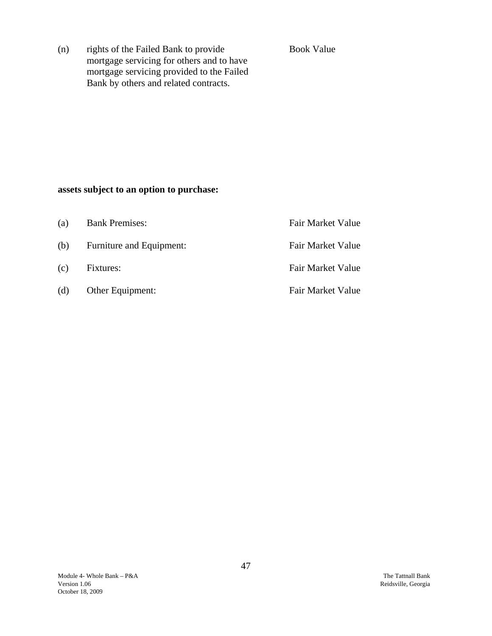(n) rights of the Failed Bank to provide Book Value mortgage servicing for others and to have mortgage servicing provided to the Failed Bank by others and related contracts.

### **assets subject to an option to purchase:**

| (a) | <b>Bank Premises:</b>    | Fair Market Value |
|-----|--------------------------|-------------------|
| (b) | Furniture and Equipment: | Fair Market Value |
| (c) | Fixtures:                | Fair Market Value |
| (d) | Other Equipment:         | Fair Market Value |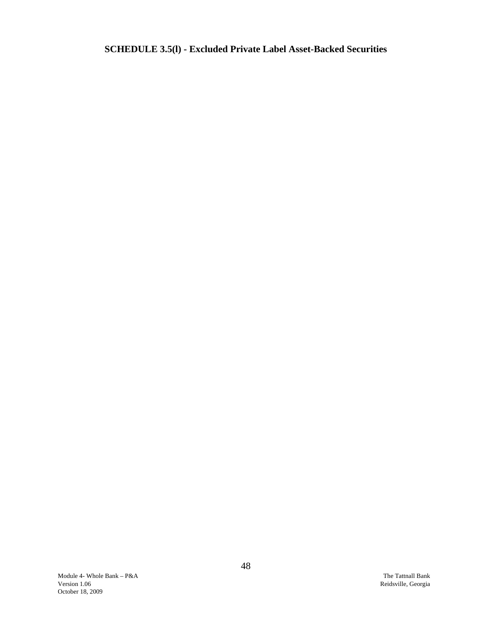<span id="page-51-0"></span>**SCHEDULE 3.5(l) - Excluded Private Label Asset-Backed Securities**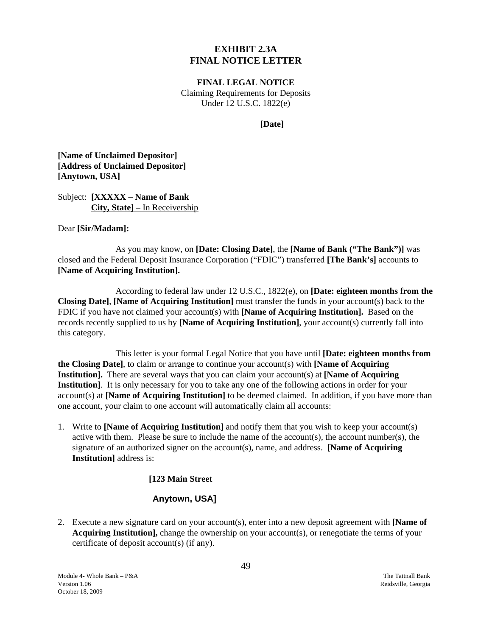# **EXHIBIT 2.3A FINAL NOTICE LETTER**

**FINAL LEGAL NOTICE** 

Claiming Requirements for Deposits Under 12 U.S.C. 1822(e)

**[Date]** 

<span id="page-52-0"></span>**[Name of Unclaimed Depositor] [Address of Unclaimed Depositor] [Anytown, USA]** 

Subject: **[XXXXX – Name of Bank City, State]** – In Receivership

Dear **[Sir/Madam]:** 

As you may know, on **[Date: Closing Date]**, the **[Name of Bank ("The Bank")]** was closed and the Federal Deposit Insurance Corporation ("FDIC") transferred **[The Bank's]** accounts to **[Name of Acquiring Institution].** 

According to federal law under 12 U.S.C., 1822(e), on **[Date: eighteen months from the Closing Date]**, **[Name of Acquiring Institution]** must transfer the funds in your account(s) back to the FDIC if you have not claimed your account(s) with **[Name of Acquiring Institution].** Based on the records recently supplied to us by **[Name of Acquiring Institution]**, your account(s) currently fall into this category.

This letter is your formal Legal Notice that you have until **[Date: eighteen months from the Closing Date]**, to claim or arrange to continue your account(s) with **[Name of Acquiring Institution].** There are several ways that you can claim your account(s) at **[Name of Acquiring Institution]**. It is only necessary for you to take any one of the following actions in order for your account(s) at **[Name of Acquiring Institution]** to be deemed claimed. In addition, if you have more than one account, your claim to one account will automatically claim all accounts:

1. Write to **[Name of Acquiring Institution**] and notify them that you wish to keep your account(s) active with them. Please be sure to include the name of the account(s), the account number(s), the signature of an authorized signer on the account(s), name, and address. **[Name of Acquiring Institution]** address is:

#### **[123 Main Street**

#### **Anytown, USA]**

2. Execute a new signature card on your account(s), enter into a new deposit agreement with **[Name of Acquiring Institution],** change the ownership on your account(s), or renegotiate the terms of your certificate of deposit account(s) (if any).

Module 4- Whole Bank – P&A The Tattnall Bank Version 1.06 Reidsville, Georgia October 18, 2009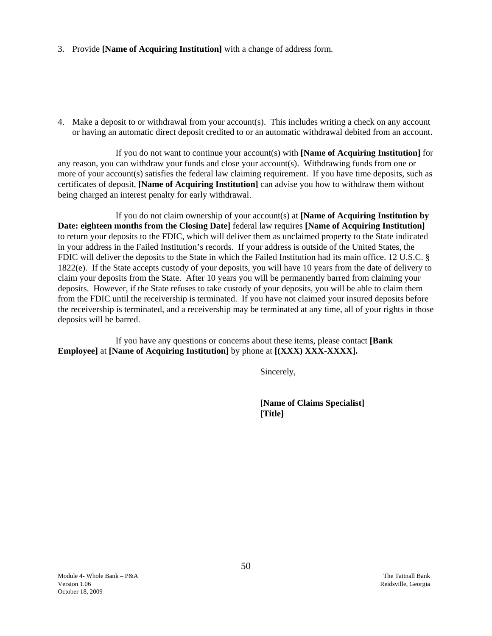- 3. Provide **[Name of Acquiring Institution]** with a change of address form.
- 4. Make a deposit to or withdrawal from your account(s). This includes writing a check on any account or having an automatic direct deposit credited to or an automatic withdrawal debited from an account.

If you do not want to continue your account(s) with **[Name of Acquiring Institution]** for any reason, you can withdraw your funds and close your account(s). Withdrawing funds from one or more of your account(s) satisfies the federal law claiming requirement. If you have time deposits, such as certificates of deposit, **[Name of Acquiring Institution]** can advise you how to withdraw them without being charged an interest penalty for early withdrawal.

If you do not claim ownership of your account(s) at **[Name of Acquiring Institution by Date: eighteen months from the Closing Date]** federal law requires **[Name of Acquiring Institution]**  to return your deposits to the FDIC, which will deliver them as unclaimed property to the State indicated in your address in the Failed Institution's records. If your address is outside of the United States, the FDIC will deliver the deposits to the State in which the Failed Institution had its main office. 12 U.S.C. § 1822(e). If the State accepts custody of your deposits, you will have 10 years from the date of delivery to claim your deposits from the State. After 10 years you will be permanently barred from claiming your deposits. However, if the State refuses to take custody of your deposits, you will be able to claim them from the FDIC until the receivership is terminated. If you have not claimed your insured deposits before the receivership is terminated, and a receivership may be terminated at any time, all of your rights in those deposits will be barred.

If you have any questions or concerns about these items, please contact **[Bank Employee]** at **[Name of Acquiring Institution]** by phone at **[(XXX) XXX-XXXX].** 

Sincerely,

**[Name of Claims Specialist] [Title]**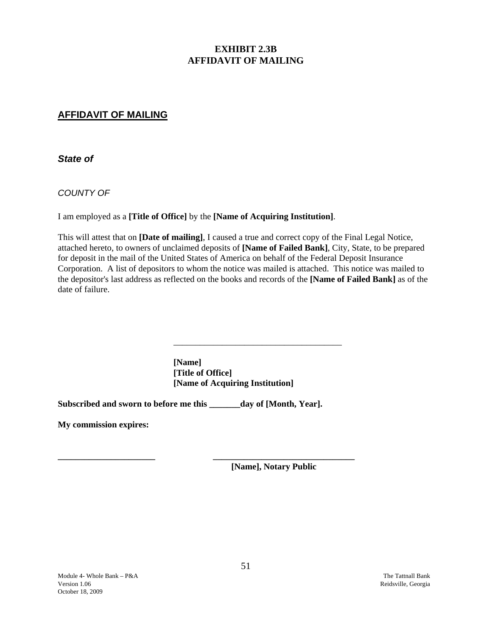# **EXHIBIT 2.3B AFFIDAVIT OF MAILING**

### **AFFIDAVIT OF MAILING**

*State of* 

*COUNTY OF* 

I am employed as a **[Title of Office]** by the **[Name of Acquiring Institution]**.

This will attest that on **[Date of mailing]**, I caused a true and correct copy of the Final Legal Notice, attached hereto, to owners of unclaimed deposits of **[Name of Failed Bank]**, City, State, to be prepared for deposit in the mail of the United States of America on behalf of the Federal Deposit Insurance Corporation. A list of depositors to whom the notice was mailed is attached. This notice was mailed to the depositor's last address as reflected on the books and records of the **[Name of Failed Bank]** as of the date of failure.

> **[Name] [Title of Office] [Name of Acquiring Institution]**

**Subscribed and sworn to before me this \_\_\_\_\_\_\_day of [Month, Year].** 

 $\overline{\phantom{a}}$  ,  $\overline{\phantom{a}}$  ,  $\overline{\phantom{a}}$  ,  $\overline{\phantom{a}}$  ,  $\overline{\phantom{a}}$  ,  $\overline{\phantom{a}}$  ,  $\overline{\phantom{a}}$  ,  $\overline{\phantom{a}}$  ,  $\overline{\phantom{a}}$  ,  $\overline{\phantom{a}}$  ,  $\overline{\phantom{a}}$  ,  $\overline{\phantom{a}}$  ,  $\overline{\phantom{a}}$  ,  $\overline{\phantom{a}}$  ,  $\overline{\phantom{a}}$  ,  $\overline{\phantom{a}}$ 

**My commission expires:** 

**\_\_\_\_\_\_\_\_\_\_\_\_\_\_\_\_\_\_\_\_\_\_ \_\_\_\_\_\_\_\_\_\_\_\_\_\_\_\_\_\_\_\_\_\_\_\_\_\_\_\_\_\_\_\_ [Name], Notary Public**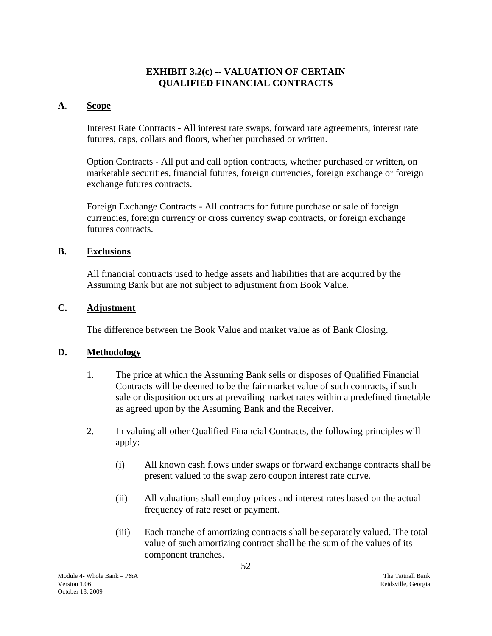# **EXHIBIT 3.2(c) -- VALUATION OF CERTAIN QUALIFIED FINANCIAL CONTRACTS**

### <span id="page-55-0"></span>**A**. **Scope**

Interest Rate Contracts - All interest rate swaps, forward rate agreements, interest rate futures, caps, collars and floors, whether purchased or written.

Option Contracts - All put and call option contracts, whether purchased or written, on marketable securities, financial futures, foreign currencies, foreign exchange or foreign exchange futures contracts.

Foreign Exchange Contracts - All contracts for future purchase or sale of foreign currencies, foreign currency or cross currency swap contracts, or foreign exchange futures contracts.

### **B. Exclusions**

All financial contracts used to hedge assets and liabilities that are acquired by the Assuming Bank but are not subject to adjustment from Book Value.

### C. Adjustment

The difference between the Book Value and market value as of Bank Closing.

### **D. Methodology**

- 1. The price at which the Assuming Bank sells or disposes of Qualified Financial Contracts will be deemed to be the fair market value of such contracts, if such sale or disposition occurs at prevailing market rates within a predefined timetable as agreed upon by the Assuming Bank and the Receiver.
- 2. In valuing all other Qualified Financial Contracts, the following principles will apply:
	- (i) All known cash flows under swaps or forward exchange contracts shall be present valued to the swap zero coupon interest rate curve.
	- (ii) All valuations shall employ prices and interest rates based on the actual frequency of rate reset or payment.
	- (iii) Each tranche of amortizing contracts shall be separately valued. The total value of such amortizing contract shall be the sum of the values of its component tranches.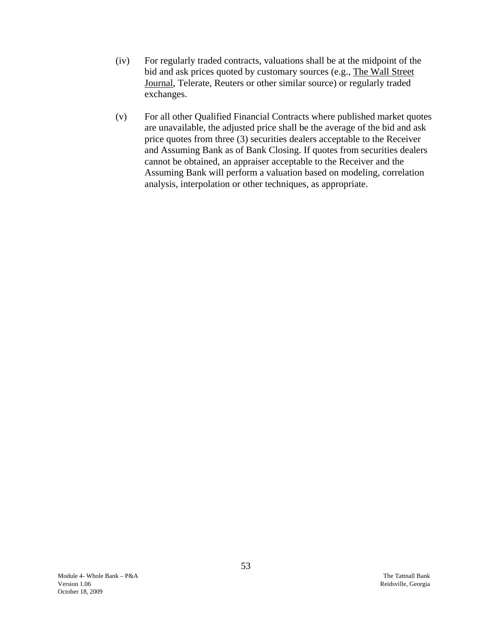- (iv) For regularly traded contracts, valuations shall be at the midpoint of the bid and ask prices quoted by customary sources (e.g., The Wall Street Journal, Telerate, Reuters or other similar source) or regularly traded exchanges.
- (v) For all other Qualified Financial Contracts where published market quotes are unavailable, the adjusted price shall be the average of the bid and ask price quotes from three (3) securities dealers acceptable to the Receiver and Assuming Bank as of Bank Closing. If quotes from securities dealers cannot be obtained, an appraiser acceptable to the Receiver and the Assuming Bank will perform a valuation based on modeling, correlation analysis, interpolation or other techniques, as appropriate.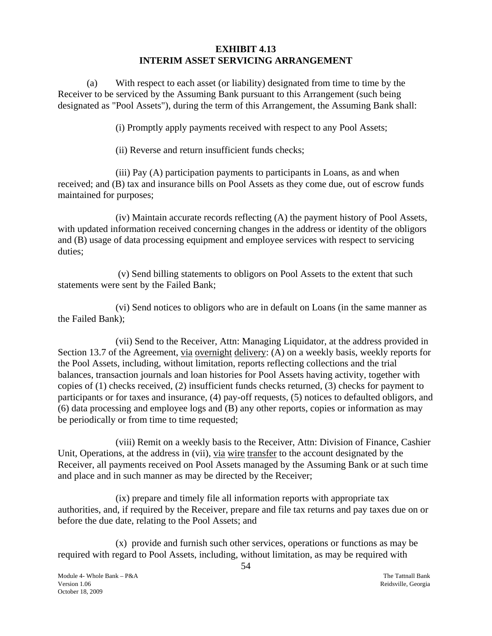## **EXHIBIT 4.13 INTERIM ASSET SERVICING ARRANGEMENT**

<span id="page-57-0"></span>(a) With respect to each asset (or liability) designated from time to time by the Receiver to be serviced by the Assuming Bank pursuant to this Arrangement (such being designated as "Pool Assets"), during the term of this Arrangement, the Assuming Bank shall:

(i) Promptly apply payments received with respect to any Pool Assets;

(ii) Reverse and return insufficient funds checks;

(iii) Pay (A) participation payments to participants in Loans, as and when received; and (B) tax and insurance bills on Pool Assets as they come due, out of escrow funds maintained for purposes;

(iv) Maintain accurate records reflecting (A) the payment history of Pool Assets, with updated information received concerning changes in the address or identity of the obligors and (B) usage of data processing equipment and employee services with respect to servicing duties;

(v) Send billing statements to obligors on Pool Assets to the extent that such statements were sent by the Failed Bank;

(vi) Send notices to obligors who are in default on Loans (in the same manner as the Failed Bank);

(vii) Send to the Receiver, Attn: Managing Liquidator, at the address provided in Section 13.7 of the Agreement, via overnight delivery: (A) on a weekly basis, weekly reports for the Pool Assets, including, without limitation, reports reflecting collections and the trial balances, transaction journals and loan histories for Pool Assets having activity, together with copies of (1) checks received, (2) insufficient funds checks returned, (3) checks for payment to participants or for taxes and insurance, (4) pay-off requests, (5) notices to defaulted obligors, and (6) data processing and employee logs and (B) any other reports, copies or information as may be periodically or from time to time requested;

(viii) Remit on a weekly basis to the Receiver, Attn: Division of Finance, Cashier Unit, Operations, at the address in (vii), via wire transfer to the account designated by the Receiver, all payments received on Pool Assets managed by the Assuming Bank or at such time and place and in such manner as may be directed by the Receiver;

(ix) prepare and timely file all information reports with appropriate tax authorities, and, if required by the Receiver, prepare and file tax returns and pay taxes due on or before the due date, relating to the Pool Assets; and

(x) provide and furnish such other services, operations or functions as may be required with regard to Pool Assets, including, without limitation, as may be required with